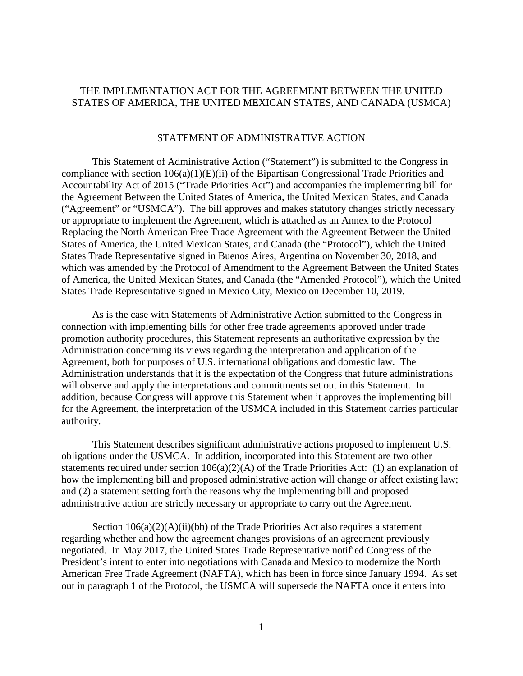# THE IMPLEMENTATION ACT FOR THE AGREEMENT BETWEEN THE UNITED STATES OF AMERICA, THE UNITED MEXICAN STATES, AND CANADA (USMCA)

#### STATEMENT OF ADMINISTRATIVE ACTION

This Statement of Administrative Action ("Statement") is submitted to the Congress in compliance with section 106(a)(1)(E)(ii) of the Bipartisan Congressional Trade Priorities and Accountability Act of 2015 ("Trade Priorities Act") and accompanies the implementing bill for the Agreement Between the United States of America, the United Mexican States, and Canada ("Agreement" or "USMCA"). The bill approves and makes statutory changes strictly necessary or appropriate to implement the Agreement, which is attached as an Annex to the Protocol Replacing the North American Free Trade Agreement with the Agreement Between the United States of America, the United Mexican States, and Canada (the "Protocol"), which the United States Trade Representative signed in Buenos Aires, Argentina on November 30, 2018, and which was amended by the Protocol of Amendment to the Agreement Between the United States of America, the United Mexican States, and Canada (the "Amended Protocol"), which the United States Trade Representative signed in Mexico City, Mexico on December 10, 2019.

As is the case with Statements of Administrative Action submitted to the Congress in connection with implementing bills for other free trade agreements approved under trade promotion authority procedures, this Statement represents an authoritative expression by the Administration concerning its views regarding the interpretation and application of the Agreement, both for purposes of U.S. international obligations and domestic law. The Administration understands that it is the expectation of the Congress that future administrations will observe and apply the interpretations and commitments set out in this Statement. In addition, because Congress will approve this Statement when it approves the implementing bill for the Agreement, the interpretation of the USMCA included in this Statement carries particular authority.

This Statement describes significant administrative actions proposed to implement U.S. obligations under the USMCA. In addition, incorporated into this Statement are two other statements required under section 106(a)(2)(A) of the Trade Priorities Act: (1) an explanation of how the implementing bill and proposed administrative action will change or affect existing law; and (2) a statement setting forth the reasons why the implementing bill and proposed administrative action are strictly necessary or appropriate to carry out the Agreement.

Section  $106(a)(2)(A)(ii)(bb)$  of the Trade Priorities Act also requires a statement regarding whether and how the agreement changes provisions of an agreement previously negotiated. In May 2017, the United States Trade Representative notified Congress of the President's intent to enter into negotiations with Canada and Mexico to modernize the North American Free Trade Agreement (NAFTA), which has been in force since January 1994. As set out in paragraph 1 of the Protocol, the USMCA will supersede the NAFTA once it enters into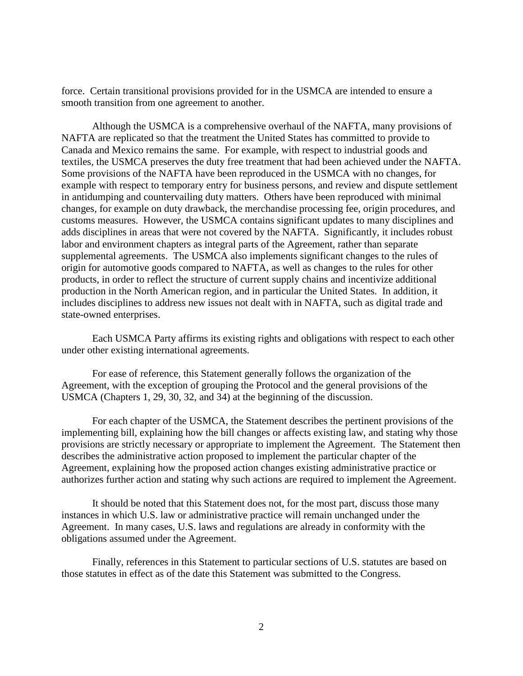force. Certain transitional provisions provided for in the USMCA are intended to ensure a smooth transition from one agreement to another.

Although the USMCA is a comprehensive overhaul of the NAFTA, many provisions of NAFTA are replicated so that the treatment the United States has committed to provide to Canada and Mexico remains the same. For example, with respect to industrial goods and textiles, the USMCA preserves the duty free treatment that had been achieved under the NAFTA. Some provisions of the NAFTA have been reproduced in the USMCA with no changes, for example with respect to temporary entry for business persons, and review and dispute settlement in antidumping and countervailing duty matters. Others have been reproduced with minimal changes, for example on duty drawback, the merchandise processing fee, origin procedures, and customs measures. However, the USMCA contains significant updates to many disciplines and adds disciplines in areas that were not covered by the NAFTA. Significantly, it includes robust labor and environment chapters as integral parts of the Agreement, rather than separate supplemental agreements. The USMCA also implements significant changes to the rules of origin for automotive goods compared to NAFTA, as well as changes to the rules for other products, in order to reflect the structure of current supply chains and incentivize additional production in the North American region, and in particular the United States. In addition, it includes disciplines to address new issues not dealt with in NAFTA, such as digital trade and state-owned enterprises.

Each USMCA Party affirms its existing rights and obligations with respect to each other under other existing international agreements.

For ease of reference, this Statement generally follows the organization of the Agreement, with the exception of grouping the Protocol and the general provisions of the USMCA (Chapters 1, 29, 30, 32, and 34) at the beginning of the discussion.

For each chapter of the USMCA, the Statement describes the pertinent provisions of the implementing bill, explaining how the bill changes or affects existing law, and stating why those provisions are strictly necessary or appropriate to implement the Agreement. The Statement then describes the administrative action proposed to implement the particular chapter of the Agreement, explaining how the proposed action changes existing administrative practice or authorizes further action and stating why such actions are required to implement the Agreement.

It should be noted that this Statement does not, for the most part, discuss those many instances in which U.S. law or administrative practice will remain unchanged under the Agreement. In many cases, U.S. laws and regulations are already in conformity with the obligations assumed under the Agreement.

Finally, references in this Statement to particular sections of U.S. statutes are based on those statutes in effect as of the date this Statement was submitted to the Congress.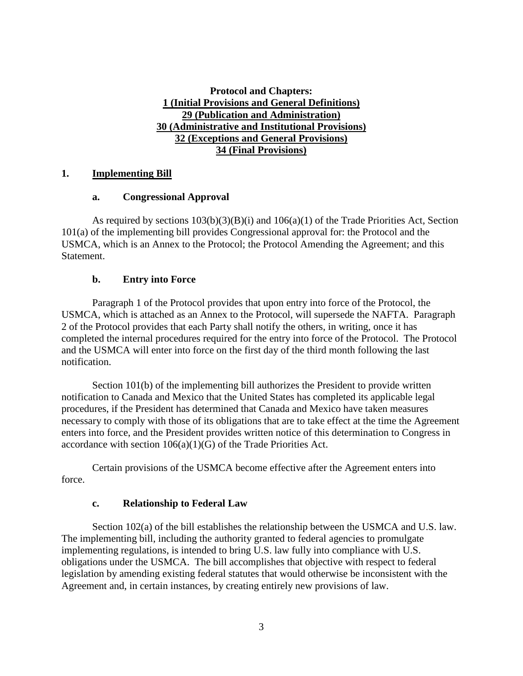# **Protocol and Chapters: 1 (Initial Provisions and General Definitions) 29 (Publication and Administration) 30 (Administrative and Institutional Provisions) 32 (Exceptions and General Provisions) 34 (Final Provisions)**

# **1. Implementing Bill**

# **a. Congressional Approval**

As required by sections  $103(b)(3)(B)(i)$  and  $106(a)(1)$  of the Trade Priorities Act, Section 101(a) of the implementing bill provides Congressional approval for: the Protocol and the USMCA, which is an Annex to the Protocol; the Protocol Amending the Agreement; and this Statement.

# **b. Entry into Force**

Paragraph 1 of the Protocol provides that upon entry into force of the Protocol, the USMCA, which is attached as an Annex to the Protocol, will supersede the NAFTA. Paragraph 2 of the Protocol provides that each Party shall notify the others, in writing, once it has completed the internal procedures required for the entry into force of the Protocol. The Protocol and the USMCA will enter into force on the first day of the third month following the last notification.

Section 101(b) of the implementing bill authorizes the President to provide written notification to Canada and Mexico that the United States has completed its applicable legal procedures, if the President has determined that Canada and Mexico have taken measures necessary to comply with those of its obligations that are to take effect at the time the Agreement enters into force, and the President provides written notice of this determination to Congress in accordance with section 106(a)(1)(G) of the Trade Priorities Act.

Certain provisions of the USMCA become effective after the Agreement enters into force.

# **c. Relationship to Federal Law**

Section 102(a) of the bill establishes the relationship between the USMCA and U.S. law. The implementing bill, including the authority granted to federal agencies to promulgate implementing regulations, is intended to bring U.S. law fully into compliance with U.S. obligations under the USMCA. The bill accomplishes that objective with respect to federal legislation by amending existing federal statutes that would otherwise be inconsistent with the Agreement and, in certain instances, by creating entirely new provisions of law.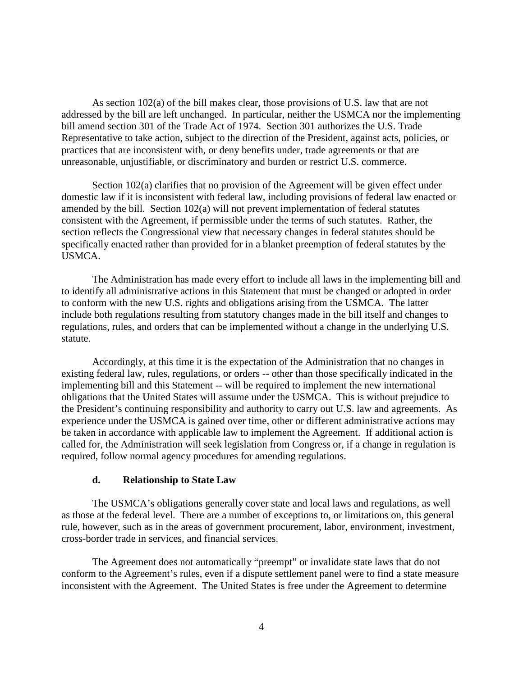As section 102(a) of the bill makes clear, those provisions of U.S. law that are not addressed by the bill are left unchanged. In particular, neither the USMCA nor the implementing bill amend section 301 of the Trade Act of 1974. Section 301 authorizes the U.S. Trade Representative to take action, subject to the direction of the President, against acts, policies, or practices that are inconsistent with, or deny benefits under, trade agreements or that are unreasonable, unjustifiable, or discriminatory and burden or restrict U.S. commerce.

Section 102(a) clarifies that no provision of the Agreement will be given effect under domestic law if it is inconsistent with federal law, including provisions of federal law enacted or amended by the bill. Section 102(a) will not prevent implementation of federal statutes consistent with the Agreement, if permissible under the terms of such statutes. Rather, the section reflects the Congressional view that necessary changes in federal statutes should be specifically enacted rather than provided for in a blanket preemption of federal statutes by the USMCA.

The Administration has made every effort to include all laws in the implementing bill and to identify all administrative actions in this Statement that must be changed or adopted in order to conform with the new U.S. rights and obligations arising from the USMCA. The latter include both regulations resulting from statutory changes made in the bill itself and changes to regulations, rules, and orders that can be implemented without a change in the underlying U.S. statute.

Accordingly, at this time it is the expectation of the Administration that no changes in existing federal law, rules, regulations, or orders -- other than those specifically indicated in the implementing bill and this Statement -- will be required to implement the new international obligations that the United States will assume under the USMCA. This is without prejudice to the President's continuing responsibility and authority to carry out U.S. law and agreements. As experience under the USMCA is gained over time, other or different administrative actions may be taken in accordance with applicable law to implement the Agreement. If additional action is called for, the Administration will seek legislation from Congress or, if a change in regulation is required, follow normal agency procedures for amending regulations.

#### **d. Relationship to State Law**

The USMCA's obligations generally cover state and local laws and regulations, as well as those at the federal level. There are a number of exceptions to, or limitations on, this general rule, however, such as in the areas of government procurement, labor, environment, investment, cross-border trade in services, and financial services.

The Agreement does not automatically "preempt" or invalidate state laws that do not conform to the Agreement's rules, even if a dispute settlement panel were to find a state measure inconsistent with the Agreement. The United States is free under the Agreement to determine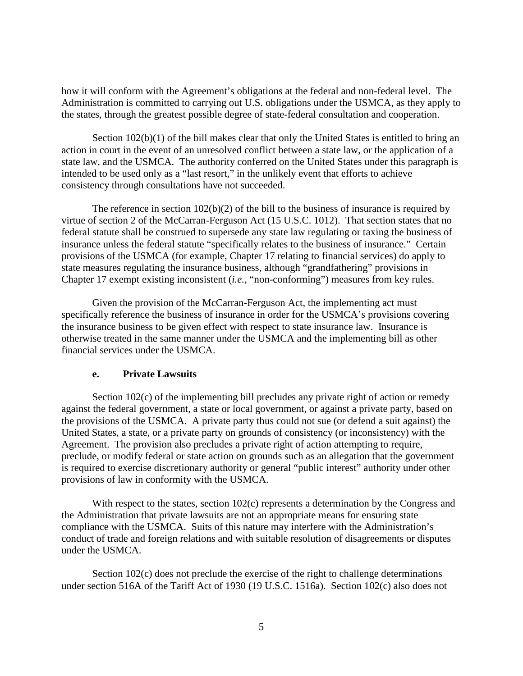how it will conform with the Agreement's obligations at the federal and non-federal level. The Administration is committed to carrying out U.S. obligations under the USMCA, as they apply to the states, through the greatest possible degree of state-federal consultation and cooperation.

Section 102(b)(1) of the bill makes clear that only the United States is entitled to bring an action in court in the event of an unresolved conflict between a state law, or the application of a state law, and the USMCA. The authority conferred on the United States under this paragraph is intended to be used only as a "last resort," in the unlikely event that efforts to achieve consistency through consultations have not succeeded.

The reference in section 102(b)(2) of the bill to the business of insurance is required by virtue of section 2 of the McCarran-Ferguson Act (15 U.S.C. 1012). That section states that no federal statute shall be construed to supersede any state law regulating or taxing the business of insurance unless the federal statute "specifically relates to the business of insurance." Certain provisions of the USMCA (for example, Chapter 17 relating to financial services) do apply to state measures regulating the insurance business, although "grandfathering" provisions in Chapter 17 exempt existing inconsistent (*i.e.*, "non-conforming") measures from key rules.

Given the provision of the McCarran-Ferguson Act, the implementing act must specifically reference the business of insurance in order for the USMCA's provisions covering the insurance business to be given effect with respect to state insurance law. Insurance is otherwise treated in the same manner under the USMCA and the implementing bill as other financial services under the USMCA.

# **e. Private Lawsuits**

Section 102(c) of the implementing bill precludes any private right of action or remedy against the federal government, a state or local government, or against a private party, based on the provisions of the USMCA. A private party thus could not sue (or defend a suit against) the United States, a state, or a private party on grounds of consistency (or inconsistency) with the Agreement. The provision also precludes a private right of action attempting to require, preclude, or modify federal or state action on grounds such as an allegation that the government is required to exercise discretionary authority or general "public interest" authority under other provisions of law in conformity with the USMCA.

With respect to the states, section 102(c) represents a determination by the Congress and the Administration that private lawsuits are not an appropriate means for ensuring state compliance with the USMCA. Suits of this nature may interfere with the Administration's conduct of trade and foreign relations and with suitable resolution of disagreements or disputes under the USMCA.

Section 102(c) does not preclude the exercise of the right to challenge determinations under section 516A of the Tariff Act of 1930 (19 U.S.C. 1516a). Section 102(c) also does not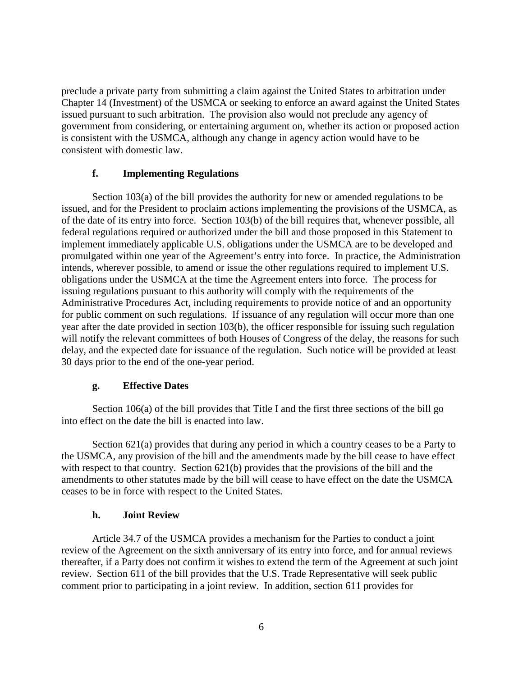preclude a private party from submitting a claim against the United States to arbitration under Chapter 14 (Investment) of the USMCA or seeking to enforce an award against the United States issued pursuant to such arbitration. The provision also would not preclude any agency of government from considering, or entertaining argument on, whether its action or proposed action is consistent with the USMCA, although any change in agency action would have to be consistent with domestic law.

#### **f. Implementing Regulations**

Section 103(a) of the bill provides the authority for new or amended regulations to be issued, and for the President to proclaim actions implementing the provisions of the USMCA, as of the date of its entry into force. Section 103(b) of the bill requires that, whenever possible, all federal regulations required or authorized under the bill and those proposed in this Statement to implement immediately applicable U.S. obligations under the USMCA are to be developed and promulgated within one year of the Agreement's entry into force. In practice, the Administration intends, wherever possible, to amend or issue the other regulations required to implement U.S. obligations under the USMCA at the time the Agreement enters into force. The process for issuing regulations pursuant to this authority will comply with the requirements of the Administrative Procedures Act, including requirements to provide notice of and an opportunity for public comment on such regulations. If issuance of any regulation will occur more than one year after the date provided in section 103(b), the officer responsible for issuing such regulation will notify the relevant committees of both Houses of Congress of the delay, the reasons for such delay, and the expected date for issuance of the regulation. Such notice will be provided at least 30 days prior to the end of the one-year period.

#### **g. Effective Dates**

Section 106(a) of the bill provides that Title I and the first three sections of the bill go into effect on the date the bill is enacted into law.

Section 621(a) provides that during any period in which a country ceases to be a Party to the USMCA, any provision of the bill and the amendments made by the bill cease to have effect with respect to that country. Section 621(b) provides that the provisions of the bill and the amendments to other statutes made by the bill will cease to have effect on the date the USMCA ceases to be in force with respect to the United States.

# **h. Joint Review**

Article 34.7 of the USMCA provides a mechanism for the Parties to conduct a joint review of the Agreement on the sixth anniversary of its entry into force, and for annual reviews thereafter, if a Party does not confirm it wishes to extend the term of the Agreement at such joint review. Section 611 of the bill provides that the U.S. Trade Representative will seek public comment prior to participating in a joint review. In addition, section 611 provides for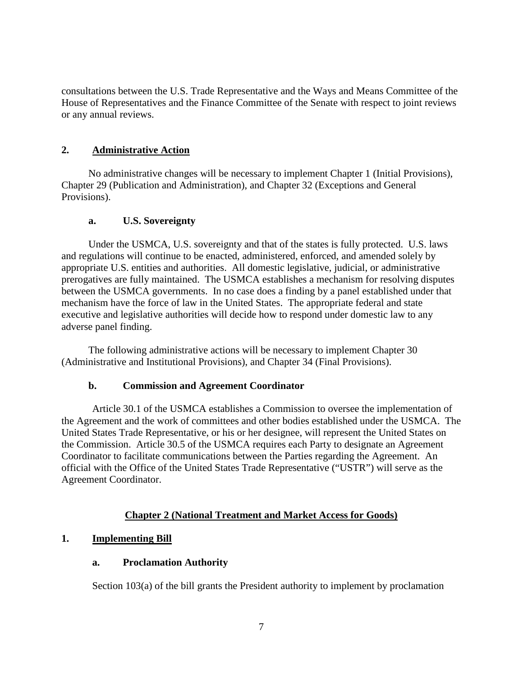consultations between the U.S. Trade Representative and the Ways and Means Committee of the House of Representatives and the Finance Committee of the Senate with respect to joint reviews or any annual reviews.

# **2. Administrative Action**

No administrative changes will be necessary to implement Chapter 1 (Initial Provisions), Chapter 29 (Publication and Administration), and Chapter 32 (Exceptions and General Provisions).

# **a. U.S. Sovereignty**

Under the USMCA, U.S. sovereignty and that of the states is fully protected. U.S. laws and regulations will continue to be enacted, administered, enforced, and amended solely by appropriate U.S. entities and authorities. All domestic legislative, judicial, or administrative prerogatives are fully maintained. The USMCA establishes a mechanism for resolving disputes between the USMCA governments. In no case does a finding by a panel established under that mechanism have the force of law in the United States. The appropriate federal and state executive and legislative authorities will decide how to respond under domestic law to any adverse panel finding.

The following administrative actions will be necessary to implement Chapter 30 (Administrative and Institutional Provisions), and Chapter 34 (Final Provisions).

# **b. Commission and Agreement Coordinator**

Article 30.1 of the USMCA establishes a Commission to oversee the implementation of the Agreement and the work of committees and other bodies established under the USMCA. The United States Trade Representative, or his or her designee, will represent the United States on the Commission. Article 30.5 of the USMCA requires each Party to designate an Agreement Coordinator to facilitate communications between the Parties regarding the Agreement. An official with the Office of the United States Trade Representative ("USTR") will serve as the Agreement Coordinator.

# **Chapter 2 (National Treatment and Market Access for Goods)**

# **1. Implementing Bill**

# **a. Proclamation Authority**

Section 103(a) of the bill grants the President authority to implement by proclamation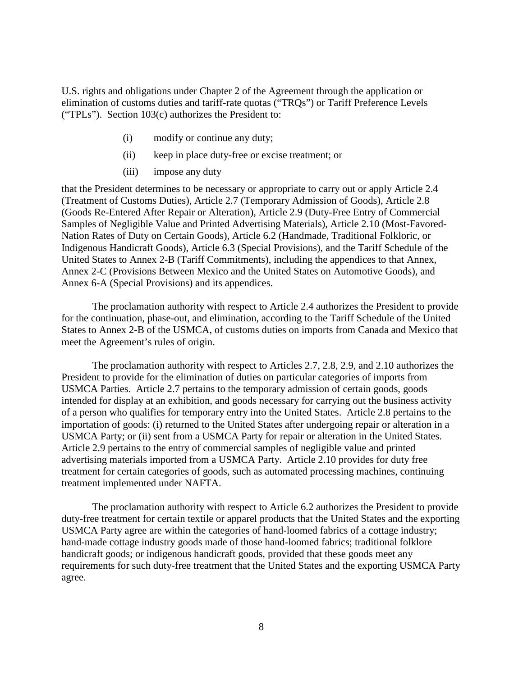U.S. rights and obligations under Chapter 2 of the Agreement through the application or elimination of customs duties and tariff-rate quotas ("TRQs") or Tariff Preference Levels ("TPLs"). Section 103(c) authorizes the President to:

- (i) modify or continue any duty;
- (ii) keep in place duty-free or excise treatment; or
- (iii) impose any duty

that the President determines to be necessary or appropriate to carry out or apply Article 2.4 (Treatment of Customs Duties), Article 2.7 (Temporary Admission of Goods), Article 2.8 (Goods Re-Entered After Repair or Alteration), Article 2.9 (Duty-Free Entry of Commercial Samples of Negligible Value and Printed Advertising Materials), Article 2.10 (Most-Favored-Nation Rates of Duty on Certain Goods), Article 6.2 (Handmade, Traditional Folkloric, or Indigenous Handicraft Goods), Article 6.3 (Special Provisions), and the Tariff Schedule of the United States to Annex 2-B (Tariff Commitments), including the appendices to that Annex, Annex 2-C (Provisions Between Mexico and the United States on Automotive Goods), and Annex 6-A (Special Provisions) and its appendices.

The proclamation authority with respect to Article 2.4 authorizes the President to provide for the continuation, phase-out, and elimination, according to the Tariff Schedule of the United States to Annex 2-B of the USMCA, of customs duties on imports from Canada and Mexico that meet the Agreement's rules of origin.

The proclamation authority with respect to Articles 2.7, 2.8, 2.9, and 2.10 authorizes the President to provide for the elimination of duties on particular categories of imports from USMCA Parties. Article 2.7 pertains to the temporary admission of certain goods, goods intended for display at an exhibition, and goods necessary for carrying out the business activity of a person who qualifies for temporary entry into the United States. Article 2.8 pertains to the importation of goods: (i) returned to the United States after undergoing repair or alteration in a USMCA Party; or (ii) sent from a USMCA Party for repair or alteration in the United States. Article 2.9 pertains to the entry of commercial samples of negligible value and printed advertising materials imported from a USMCA Party. Article 2.10 provides for duty free treatment for certain categories of goods, such as automated processing machines, continuing treatment implemented under NAFTA.

The proclamation authority with respect to Article 6.2 authorizes the President to provide duty-free treatment for certain textile or apparel products that the United States and the exporting USMCA Party agree are within the categories of hand-loomed fabrics of a cottage industry; hand-made cottage industry goods made of those hand-loomed fabrics; traditional folklore handicraft goods; or indigenous handicraft goods, provided that these goods meet any requirements for such duty-free treatment that the United States and the exporting USMCA Party agree.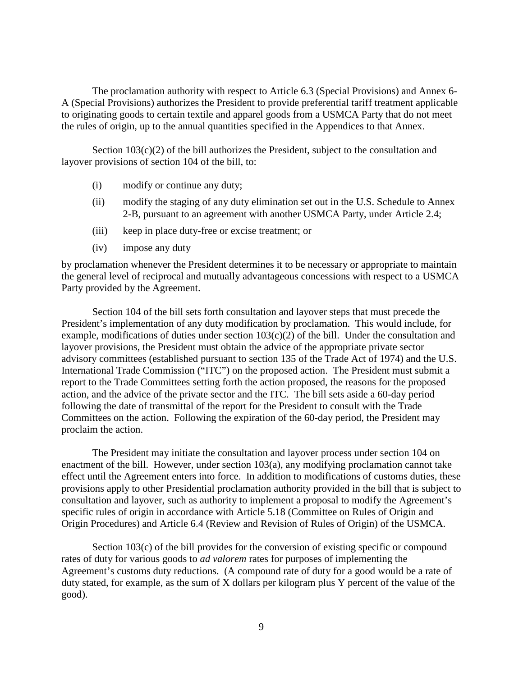The proclamation authority with respect to Article 6.3 (Special Provisions) and Annex 6- A (Special Provisions) authorizes the President to provide preferential tariff treatment applicable to originating goods to certain textile and apparel goods from a USMCA Party that do not meet the rules of origin, up to the annual quantities specified in the Appendices to that Annex.

Section 103(c)(2) of the bill authorizes the President, subject to the consultation and layover provisions of section 104 of the bill, to:

- (i) modify or continue any duty;
- (ii) modify the staging of any duty elimination set out in the U.S. Schedule to Annex 2-B, pursuant to an agreement with another USMCA Party, under Article 2.4;
- (iii) keep in place duty-free or excise treatment; or
- (iv) impose any duty

by proclamation whenever the President determines it to be necessary or appropriate to maintain the general level of reciprocal and mutually advantageous concessions with respect to a USMCA Party provided by the Agreement.

Section 104 of the bill sets forth consultation and layover steps that must precede the President's implementation of any duty modification by proclamation. This would include, for example, modifications of duties under section  $103(c)(2)$  of the bill. Under the consultation and layover provisions, the President must obtain the advice of the appropriate private sector advisory committees (established pursuant to section 135 of the Trade Act of 1974) and the U.S. International Trade Commission ("ITC") on the proposed action. The President must submit a report to the Trade Committees setting forth the action proposed, the reasons for the proposed action, and the advice of the private sector and the ITC. The bill sets aside a 60-day period following the date of transmittal of the report for the President to consult with the Trade Committees on the action. Following the expiration of the 60-day period, the President may proclaim the action.

The President may initiate the consultation and layover process under section 104 on enactment of the bill. However, under section 103(a), any modifying proclamation cannot take effect until the Agreement enters into force. In addition to modifications of customs duties, these provisions apply to other Presidential proclamation authority provided in the bill that is subject to consultation and layover, such as authority to implement a proposal to modify the Agreement's specific rules of origin in accordance with Article 5.18 (Committee on Rules of Origin and Origin Procedures) and Article 6.4 (Review and Revision of Rules of Origin) of the USMCA.

Section 103(c) of the bill provides for the conversion of existing specific or compound rates of duty for various goods to *ad valorem* rates for purposes of implementing the Agreement's customs duty reductions. (A compound rate of duty for a good would be a rate of duty stated, for example, as the sum of X dollars per kilogram plus Y percent of the value of the good).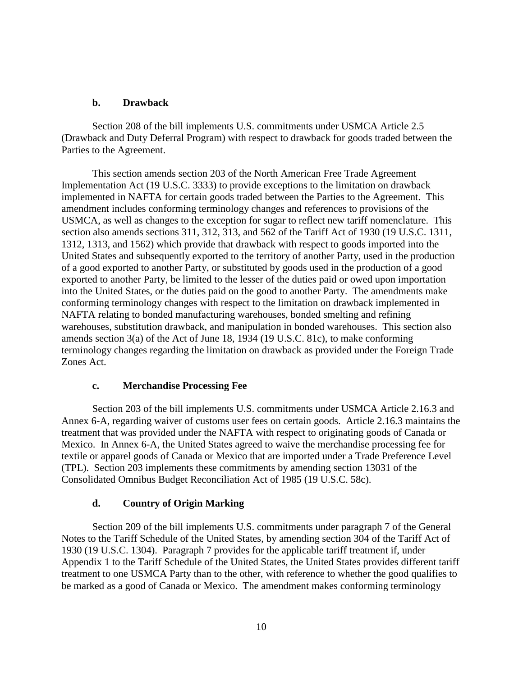# **b. Drawback**

Section 208 of the bill implements U.S. commitments under USMCA Article 2.5 (Drawback and Duty Deferral Program) with respect to drawback for goods traded between the Parties to the Agreement.

This section amends section 203 of the North American Free Trade Agreement Implementation Act (19 U.S.C. 3333) to provide exceptions to the limitation on drawback implemented in NAFTA for certain goods traded between the Parties to the Agreement. This amendment includes conforming terminology changes and references to provisions of the USMCA, as well as changes to the exception for sugar to reflect new tariff nomenclature. This section also amends sections 311, 312, 313, and 562 of the Tariff Act of 1930 (19 U.S.C. 1311, 1312, 1313, and 1562) which provide that drawback with respect to goods imported into the United States and subsequently exported to the territory of another Party, used in the production of a good exported to another Party, or substituted by goods used in the production of a good exported to another Party, be limited to the lesser of the duties paid or owed upon importation into the United States, or the duties paid on the good to another Party. The amendments make conforming terminology changes with respect to the limitation on drawback implemented in NAFTA relating to bonded manufacturing warehouses, bonded smelting and refining warehouses, substitution drawback, and manipulation in bonded warehouses. This section also amends section 3(a) of the Act of June 18, 1934 (19 U.S.C. 81c), to make conforming terminology changes regarding the limitation on drawback as provided under the Foreign Trade Zones Act.

# **c. Merchandise Processing Fee**

Section 203 of the bill implements U.S. commitments under USMCA Article 2.16.3 and Annex 6-A, regarding waiver of customs user fees on certain goods. Article 2.16.3 maintains the treatment that was provided under the NAFTA with respect to originating goods of Canada or Mexico. In Annex 6-A, the United States agreed to waive the merchandise processing fee for textile or apparel goods of Canada or Mexico that are imported under a Trade Preference Level (TPL). Section 203 implements these commitments by amending section 13031 of the Consolidated Omnibus Budget Reconciliation Act of 1985 (19 U.S.C. 58c).

# **d. Country of Origin Marking**

Section 209 of the bill implements U.S. commitments under paragraph 7 of the General Notes to the Tariff Schedule of the United States, by amending section 304 of the Tariff Act of 1930 (19 U.S.C. 1304). Paragraph 7 provides for the applicable tariff treatment if, under Appendix 1 to the Tariff Schedule of the United States, the United States provides different tariff treatment to one USMCA Party than to the other, with reference to whether the good qualifies to be marked as a good of Canada or Mexico. The amendment makes conforming terminology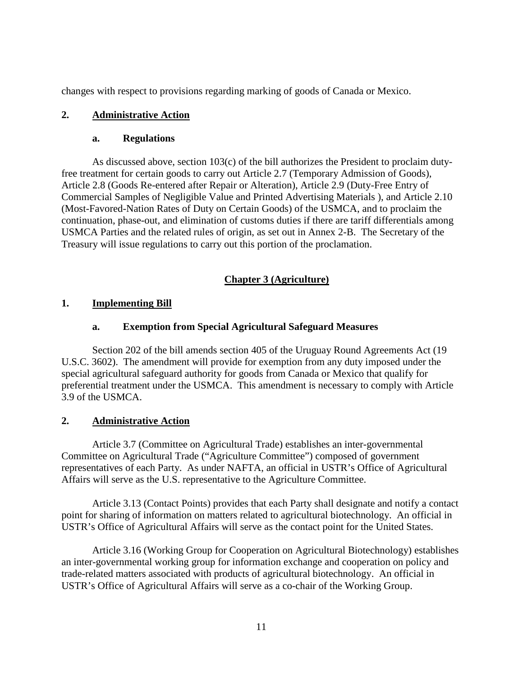changes with respect to provisions regarding marking of goods of Canada or Mexico.

# **2. Administrative Action**

# **a. Regulations**

As discussed above, section  $103(c)$  of the bill authorizes the President to proclaim dutyfree treatment for certain goods to carry out Article 2.7 (Temporary Admission of Goods), Article 2.8 (Goods Re-entered after Repair or Alteration), Article 2.9 (Duty-Free Entry of Commercial Samples of Negligible Value and Printed Advertising Materials ), and Article 2.10 (Most-Favored-Nation Rates of Duty on Certain Goods) of the USMCA, and to proclaim the continuation, phase-out, and elimination of customs duties if there are tariff differentials among USMCA Parties and the related rules of origin, as set out in Annex 2-B. The Secretary of the Treasury will issue regulations to carry out this portion of the proclamation.

# **Chapter 3 (Agriculture)**

# **1. Implementing Bill**

# **a. Exemption from Special Agricultural Safeguard Measures**

Section 202 of the bill amends section 405 of the Uruguay Round Agreements Act (19 U.S.C. 3602). The amendment will provide for exemption from any duty imposed under the special agricultural safeguard authority for goods from Canada or Mexico that qualify for preferential treatment under the USMCA. This amendment is necessary to comply with Article 3.9 of the USMCA.

# **2. Administrative Action**

Article 3.7 (Committee on Agricultural Trade) establishes an inter-governmental Committee on Agricultural Trade ("Agriculture Committee") composed of government representatives of each Party. As under NAFTA, an official in USTR's Office of Agricultural Affairs will serve as the U.S. representative to the Agriculture Committee.

Article 3.13 (Contact Points) provides that each Party shall designate and notify a contact point for sharing of information on matters related to agricultural biotechnology. An official in USTR's Office of Agricultural Affairs will serve as the contact point for the United States.

Article 3.16 (Working Group for Cooperation on Agricultural Biotechnology) establishes an inter-governmental working group for information exchange and cooperation on policy and trade-related matters associated with products of agricultural biotechnology. An official in USTR's Office of Agricultural Affairs will serve as a co-chair of the Working Group.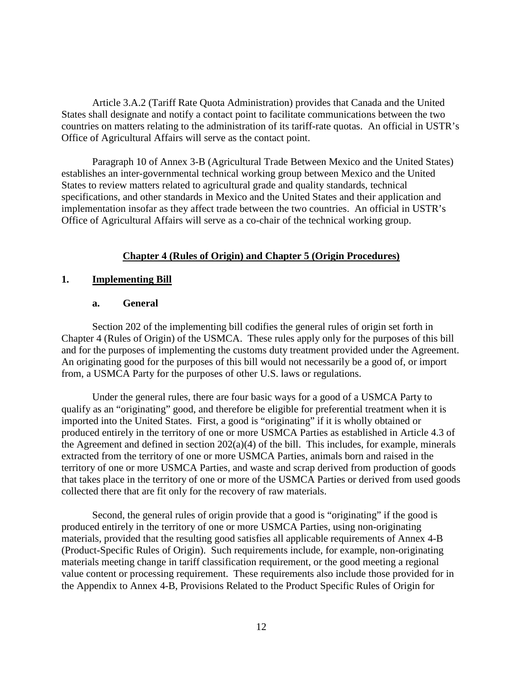Article 3.A.2 (Tariff Rate Quota Administration) provides that Canada and the United States shall designate and notify a contact point to facilitate communications between the two countries on matters relating to the administration of its tariff-rate quotas. An official in USTR's Office of Agricultural Affairs will serve as the contact point.

Paragraph 10 of Annex 3-B (Agricultural Trade Between Mexico and the United States) establishes an inter-governmental technical working group between Mexico and the United States to review matters related to agricultural grade and quality standards, technical specifications, and other standards in Mexico and the United States and their application and implementation insofar as they affect trade between the two countries. An official in USTR's Office of Agricultural Affairs will serve as a co-chair of the technical working group.

# **Chapter 4 (Rules of Origin) and Chapter 5 (Origin Procedures)**

#### **1. Implementing Bill**

#### **a. General**

Section 202 of the implementing bill codifies the general rules of origin set forth in Chapter 4 (Rules of Origin) of the USMCA. These rules apply only for the purposes of this bill and for the purposes of implementing the customs duty treatment provided under the Agreement. An originating good for the purposes of this bill would not necessarily be a good of, or import from, a USMCA Party for the purposes of other U.S. laws or regulations.

Under the general rules, there are four basic ways for a good of a USMCA Party to qualify as an "originating" good, and therefore be eligible for preferential treatment when it is imported into the United States. First, a good is "originating" if it is wholly obtained or produced entirely in the territory of one or more USMCA Parties as established in Article 4.3 of the Agreement and defined in section  $202(a)(4)$  of the bill. This includes, for example, minerals extracted from the territory of one or more USMCA Parties, animals born and raised in the territory of one or more USMCA Parties, and waste and scrap derived from production of goods that takes place in the territory of one or more of the USMCA Parties or derived from used goods collected there that are fit only for the recovery of raw materials.

Second, the general rules of origin provide that a good is "originating" if the good is produced entirely in the territory of one or more USMCA Parties, using non-originating materials, provided that the resulting good satisfies all applicable requirements of Annex 4-B (Product-Specific Rules of Origin). Such requirements include, for example, non-originating materials meeting change in tariff classification requirement, or the good meeting a regional value content or processing requirement. These requirements also include those provided for in the Appendix to Annex 4-B, Provisions Related to the Product Specific Rules of Origin for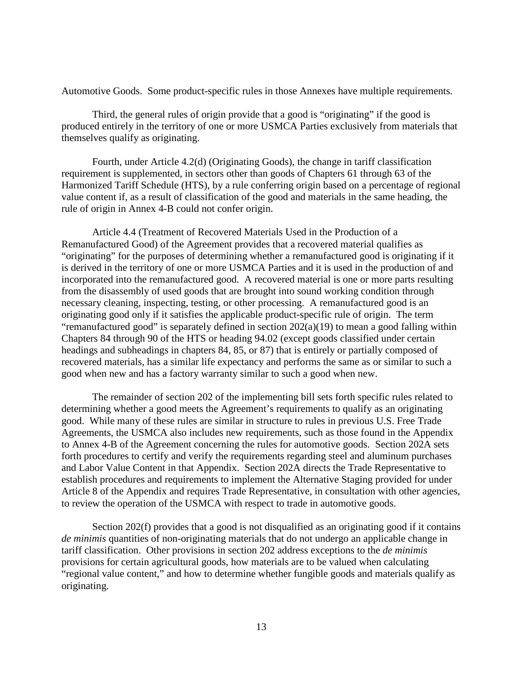Automotive Goods. Some product-specific rules in those Annexes have multiple requirements.

Third, the general rules of origin provide that a good is "originating" if the good is produced entirely in the territory of one or more USMCA Parties exclusively from materials that themselves qualify as originating.

Fourth, under Article 4.2(d) (Originating Goods), the change in tariff classification requirement is supplemented, in sectors other than goods of Chapters 61 through 63 of the Harmonized Tariff Schedule (HTS), by a rule conferring origin based on a percentage of regional value content if, as a result of classification of the good and materials in the same heading, the rule of origin in Annex 4-B could not confer origin.

Article 4.4 (Treatment of Recovered Materials Used in the Production of a Remanufactured Good) of the Agreement provides that a recovered material qualifies as "originating" for the purposes of determining whether a remanufactured good is originating if it is derived in the territory of one or more USMCA Parties and it is used in the production of and incorporated into the remanufactured good. A recovered material is one or more parts resulting from the disassembly of used goods that are brought into sound working condition through necessary cleaning, inspecting, testing, or other processing. A remanufactured good is an originating good only if it satisfies the applicable product-specific rule of origin. The term "remanufactured good" is separately defined in section  $202(a)(19)$  to mean a good falling within Chapters 84 through 90 of the HTS or heading 94.02 (except goods classified under certain headings and subheadings in chapters 84, 85, or 87) that is entirely or partially composed of recovered materials, has a similar life expectancy and performs the same as or similar to such a good when new and has a factory warranty similar to such a good when new.

The remainder of section 202 of the implementing bill sets forth specific rules related to determining whether a good meets the Agreement's requirements to qualify as an originating good. While many of these rules are similar in structure to rules in previous U.S. Free Trade Agreements, the USMCA also includes new requirements, such as those found in the Appendix to Annex 4-B of the Agreement concerning the rules for automotive goods. Section 202A sets forth procedures to certify and verify the requirements regarding steel and aluminum purchases and Labor Value Content in that Appendix. Section 202A directs the Trade Representative to establish procedures and requirements to implement the Alternative Staging provided for under Article 8 of the Appendix and requires Trade Representative, in consultation with other agencies, to review the operation of the USMCA with respect to trade in automotive goods.

Section 202(f) provides that a good is not disqualified as an originating good if it contains *de minimis* quantities of non-originating materials that do not undergo an applicable change in tariff classification. Other provisions in section 202 address exceptions to the *de minimis* provisions for certain agricultural goods, how materials are to be valued when calculating "regional value content," and how to determine whether fungible goods and materials qualify as originating.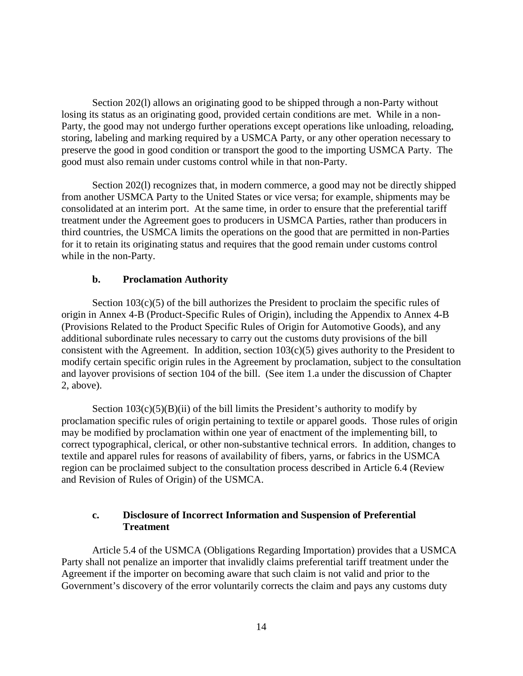Section 202(l) allows an originating good to be shipped through a non-Party without losing its status as an originating good, provided certain conditions are met. While in a non-Party, the good may not undergo further operations except operations like unloading, reloading, storing, labeling and marking required by a USMCA Party, or any other operation necessary to preserve the good in good condition or transport the good to the importing USMCA Party. The good must also remain under customs control while in that non-Party.

Section 202(l) recognizes that, in modern commerce, a good may not be directly shipped from another USMCA Party to the United States or vice versa; for example, shipments may be consolidated at an interim port. At the same time, in order to ensure that the preferential tariff treatment under the Agreement goes to producers in USMCA Parties, rather than producers in third countries, the USMCA limits the operations on the good that are permitted in non-Parties for it to retain its originating status and requires that the good remain under customs control while in the non-Party.

#### **b. Proclamation Authority**

Section  $103(c)(5)$  of the bill authorizes the President to proclaim the specific rules of origin in Annex 4-B (Product-Specific Rules of Origin), including the Appendix to Annex 4-B (Provisions Related to the Product Specific Rules of Origin for Automotive Goods), and any additional subordinate rules necessary to carry out the customs duty provisions of the bill consistent with the Agreement. In addition, section  $103(c)(5)$  gives authority to the President to modify certain specific origin rules in the Agreement by proclamation, subject to the consultation and layover provisions of section 104 of the bill. (See item 1.a under the discussion of Chapter 2, above).

Section  $103(c)(5)(B)(ii)$  of the bill limits the President's authority to modify by proclamation specific rules of origin pertaining to textile or apparel goods. Those rules of origin may be modified by proclamation within one year of enactment of the implementing bill, to correct typographical, clerical, or other non-substantive technical errors. In addition, changes to textile and apparel rules for reasons of availability of fibers, yarns, or fabrics in the USMCA region can be proclaimed subject to the consultation process described in Article 6.4 (Review and Revision of Rules of Origin) of the USMCA.

#### **c. Disclosure of Incorrect Information and Suspension of Preferential Treatment**

Article 5.4 of the USMCA (Obligations Regarding Importation) provides that a USMCA Party shall not penalize an importer that invalidly claims preferential tariff treatment under the Agreement if the importer on becoming aware that such claim is not valid and prior to the Government's discovery of the error voluntarily corrects the claim and pays any customs duty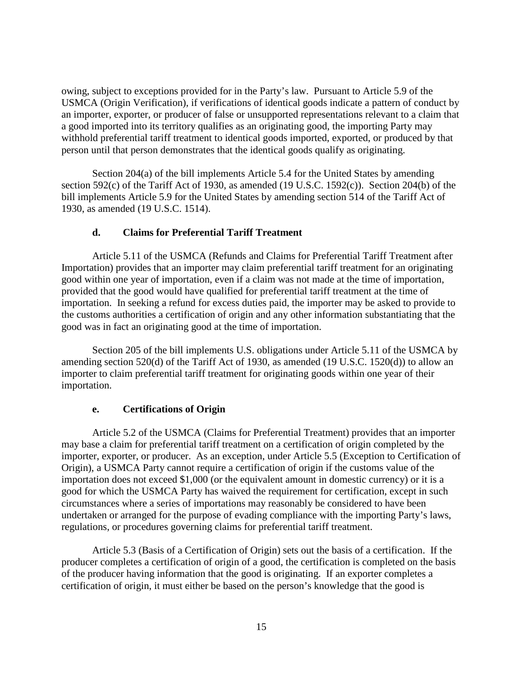owing, subject to exceptions provided for in the Party's law. Pursuant to Article 5.9 of the USMCA (Origin Verification), if verifications of identical goods indicate a pattern of conduct by an importer, exporter, or producer of false or unsupported representations relevant to a claim that a good imported into its territory qualifies as an originating good, the importing Party may withhold preferential tariff treatment to identical goods imported, exported, or produced by that person until that person demonstrates that the identical goods qualify as originating.

Section 204(a) of the bill implements Article 5.4 for the United States by amending section 592(c) of the Tariff Act of 1930, as amended (19 U.S.C. 1592(c)). Section 204(b) of the bill implements Article 5.9 for the United States by amending section 514 of the Tariff Act of 1930, as amended (19 U.S.C. 1514).

# **d. Claims for Preferential Tariff Treatment**

Article 5.11 of the USMCA (Refunds and Claims for Preferential Tariff Treatment after Importation) provides that an importer may claim preferential tariff treatment for an originating good within one year of importation, even if a claim was not made at the time of importation, provided that the good would have qualified for preferential tariff treatment at the time of importation. In seeking a refund for excess duties paid, the importer may be asked to provide to the customs authorities a certification of origin and any other information substantiating that the good was in fact an originating good at the time of importation.

Section 205 of the bill implements U.S. obligations under Article 5.11 of the USMCA by amending section 520(d) of the Tariff Act of 1930, as amended (19 U.S.C. 1520(d)) to allow an importer to claim preferential tariff treatment for originating goods within one year of their importation.

# **e. Certifications of Origin**

Article 5.2 of the USMCA (Claims for Preferential Treatment) provides that an importer may base a claim for preferential tariff treatment on a certification of origin completed by the importer, exporter, or producer. As an exception, under Article 5.5 (Exception to Certification of Origin), a USMCA Party cannot require a certification of origin if the customs value of the importation does not exceed \$1,000 (or the equivalent amount in domestic currency) or it is a good for which the USMCA Party has waived the requirement for certification, except in such circumstances where a series of importations may reasonably be considered to have been undertaken or arranged for the purpose of evading compliance with the importing Party's laws, regulations, or procedures governing claims for preferential tariff treatment.

Article 5.3 (Basis of a Certification of Origin) sets out the basis of a certification. If the producer completes a certification of origin of a good, the certification is completed on the basis of the producer having information that the good is originating. If an exporter completes a certification of origin, it must either be based on the person's knowledge that the good is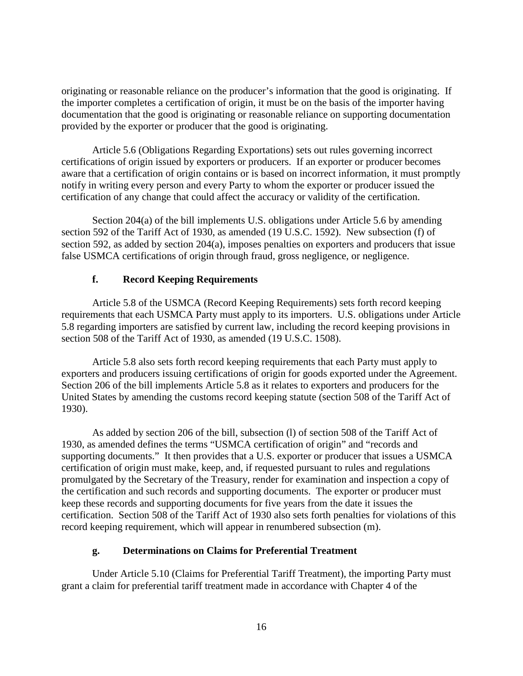originating or reasonable reliance on the producer's information that the good is originating. If the importer completes a certification of origin, it must be on the basis of the importer having documentation that the good is originating or reasonable reliance on supporting documentation provided by the exporter or producer that the good is originating.

Article 5.6 (Obligations Regarding Exportations) sets out rules governing incorrect certifications of origin issued by exporters or producers. If an exporter or producer becomes aware that a certification of origin contains or is based on incorrect information, it must promptly notify in writing every person and every Party to whom the exporter or producer issued the certification of any change that could affect the accuracy or validity of the certification.

Section 204(a) of the bill implements U.S. obligations under Article 5.6 by amending section 592 of the Tariff Act of 1930, as amended (19 U.S.C. 1592). New subsection (f) of section 592, as added by section 204(a), imposes penalties on exporters and producers that issue false USMCA certifications of origin through fraud, gross negligence, or negligence.

# **f. Record Keeping Requirements**

Article 5.8 of the USMCA (Record Keeping Requirements) sets forth record keeping requirements that each USMCA Party must apply to its importers. U.S. obligations under Article 5.8 regarding importers are satisfied by current law, including the record keeping provisions in section 508 of the Tariff Act of 1930, as amended (19 U.S.C. 1508).

Article 5.8 also sets forth record keeping requirements that each Party must apply to exporters and producers issuing certifications of origin for goods exported under the Agreement. Section 206 of the bill implements Article 5.8 as it relates to exporters and producers for the United States by amending the customs record keeping statute (section 508 of the Tariff Act of 1930).

As added by section 206 of the bill, subsection (l) of section 508 of the Tariff Act of 1930, as amended defines the terms "USMCA certification of origin" and "records and supporting documents." It then provides that a U.S. exporter or producer that issues a USMCA certification of origin must make, keep, and, if requested pursuant to rules and regulations promulgated by the Secretary of the Treasury, render for examination and inspection a copy of the certification and such records and supporting documents. The exporter or producer must keep these records and supporting documents for five years from the date it issues the certification. Section 508 of the Tariff Act of 1930 also sets forth penalties for violations of this record keeping requirement, which will appear in renumbered subsection (m).

# **g. Determinations on Claims for Preferential Treatment**

Under Article 5.10 (Claims for Preferential Tariff Treatment), the importing Party must grant a claim for preferential tariff treatment made in accordance with Chapter 4 of the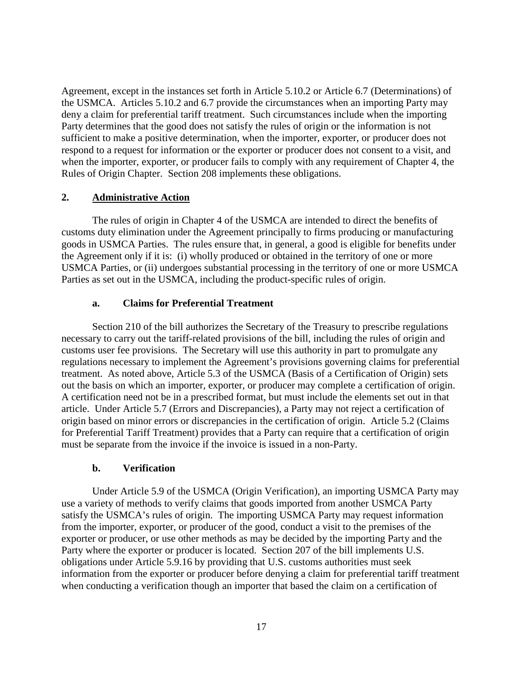Agreement, except in the instances set forth in Article 5.10.2 or Article 6.7 (Determinations) of the USMCA. Articles 5.10.2 and 6.7 provide the circumstances when an importing Party may deny a claim for preferential tariff treatment. Such circumstances include when the importing Party determines that the good does not satisfy the rules of origin or the information is not sufficient to make a positive determination, when the importer, exporter, or producer does not respond to a request for information or the exporter or producer does not consent to a visit, and when the importer, exporter, or producer fails to comply with any requirement of Chapter 4, the Rules of Origin Chapter. Section 208 implements these obligations.

# **2. Administrative Action**

The rules of origin in Chapter 4 of the USMCA are intended to direct the benefits of customs duty elimination under the Agreement principally to firms producing or manufacturing goods in USMCA Parties. The rules ensure that, in general, a good is eligible for benefits under the Agreement only if it is: (i) wholly produced or obtained in the territory of one or more USMCA Parties, or (ii) undergoes substantial processing in the territory of one or more USMCA Parties as set out in the USMCA, including the product-specific rules of origin.

# **a. Claims for Preferential Treatment**

Section 210 of the bill authorizes the Secretary of the Treasury to prescribe regulations necessary to carry out the tariff-related provisions of the bill, including the rules of origin and customs user fee provisions. The Secretary will use this authority in part to promulgate any regulations necessary to implement the Agreement's provisions governing claims for preferential treatment. As noted above, Article 5.3 of the USMCA (Basis of a Certification of Origin) sets out the basis on which an importer, exporter, or producer may complete a certification of origin. A certification need not be in a prescribed format, but must include the elements set out in that article. Under Article 5.7 (Errors and Discrepancies), a Party may not reject a certification of origin based on minor errors or discrepancies in the certification of origin. Article 5.2 (Claims for Preferential Tariff Treatment) provides that a Party can require that a certification of origin must be separate from the invoice if the invoice is issued in a non-Party.

# **b. Verification**

Under Article 5.9 of the USMCA (Origin Verification), an importing USMCA Party may use a variety of methods to verify claims that goods imported from another USMCA Party satisfy the USMCA's rules of origin. The importing USMCA Party may request information from the importer, exporter, or producer of the good, conduct a visit to the premises of the exporter or producer, or use other methods as may be decided by the importing Party and the Party where the exporter or producer is located. Section 207 of the bill implements U.S. obligations under Article 5.9.16 by providing that U.S. customs authorities must seek information from the exporter or producer before denying a claim for preferential tariff treatment when conducting a verification though an importer that based the claim on a certification of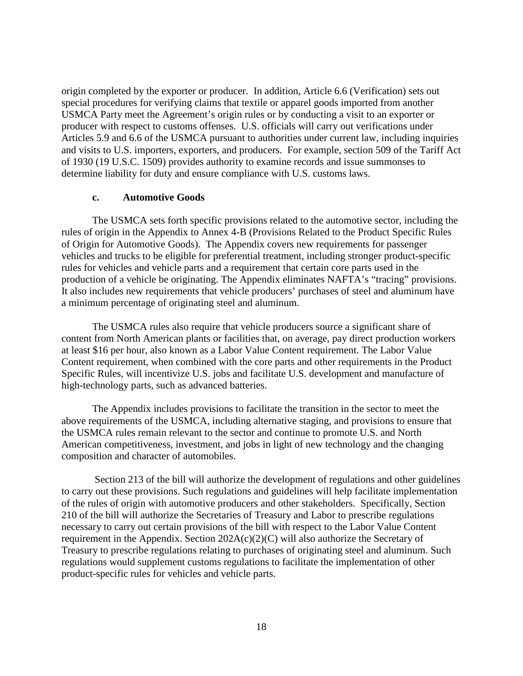origin completed by the exporter or producer. In addition, Article 6.6 (Verification) sets out special procedures for verifying claims that textile or apparel goods imported from another USMCA Party meet the Agreement's origin rules or by conducting a visit to an exporter or producer with respect to customs offenses. U.S. officials will carry out verifications under Articles 5.9 and 6.6 of the USMCA pursuant to authorities under current law, including inquiries and visits to U.S. importers, exporters, and producers. For example, section 509 of the Tariff Act of 1930 (19 U.S.C. 1509) provides authority to examine records and issue summonses to determine liability for duty and ensure compliance with U.S. customs laws.

#### **c. Automotive Goods**

The USMCA sets forth specific provisions related to the automotive sector, including the rules of origin in the Appendix to Annex 4-B (Provisions Related to the Product Specific Rules of Origin for Automotive Goods). The Appendix covers new requirements for passenger vehicles and trucks to be eligible for preferential treatment, including stronger product-specific rules for vehicles and vehicle parts and a requirement that certain core parts used in the production of a vehicle be originating. The Appendix eliminates NAFTA's "tracing" provisions. It also includes new requirements that vehicle producers' purchases of steel and aluminum have a minimum percentage of originating steel and aluminum.

The USMCA rules also require that vehicle producers source a significant share of content from North American plants or facilities that, on average, pay direct production workers at least \$16 per hour, also known as a Labor Value Content requirement. The Labor Value Content requirement, when combined with the core parts and other requirements in the Product Specific Rules, will incentivize U.S. jobs and facilitate U.S. development and manufacture of high-technology parts, such as advanced batteries.

The Appendix includes provisions to facilitate the transition in the sector to meet the above requirements of the USMCA, including alternative staging, and provisions to ensure that the USMCA rules remain relevant to the sector and continue to promote U.S. and North American competitiveness, investment, and jobs in light of new technology and the changing composition and character of automobiles.

Section 213 of the bill will authorize the development of regulations and other guidelines to carry out these provisions. Such regulations and guidelines will help facilitate implementation of the rules of origin with automotive producers and other stakeholders. Specifically, Section 210 of the bill will authorize the Secretaries of Treasury and Labor to prescribe regulations necessary to carry out certain provisions of the bill with respect to the Labor Value Content requirement in the Appendix. Section  $202A(c)(2)(C)$  will also authorize the Secretary of Treasury to prescribe regulations relating to purchases of originating steel and aluminum. Such regulations would supplement customs regulations to facilitate the implementation of other product-specific rules for vehicles and vehicle parts.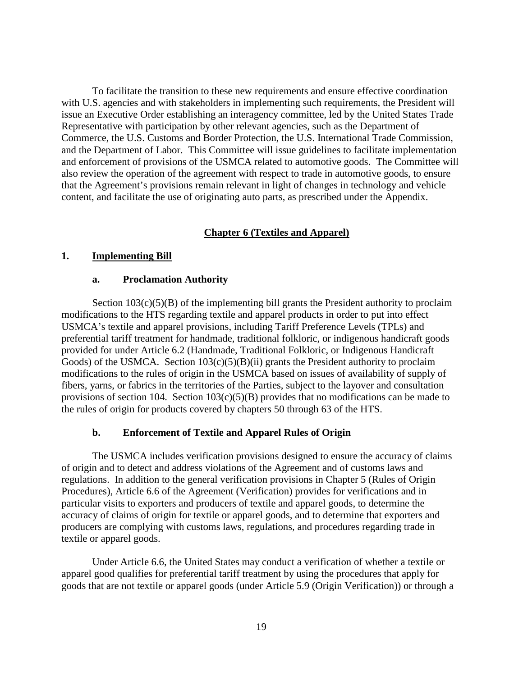To facilitate the transition to these new requirements and ensure effective coordination with U.S. agencies and with stakeholders in implementing such requirements, the President will issue an Executive Order establishing an interagency committee, led by the United States Trade Representative with participation by other relevant agencies, such as the Department of Commerce, the U.S. Customs and Border Protection, the U.S. International Trade Commission, and the Department of Labor. This Committee will issue guidelines to facilitate implementation and enforcement of provisions of the USMCA related to automotive goods. The Committee will also review the operation of the agreement with respect to trade in automotive goods, to ensure that the Agreement's provisions remain relevant in light of changes in technology and vehicle content, and facilitate the use of originating auto parts, as prescribed under the Appendix.

# **Chapter 6 (Textiles and Apparel)**

#### **1. Implementing Bill**

#### **a. Proclamation Authority**

Section  $103(c)(5)(B)$  of the implementing bill grants the President authority to proclaim modifications to the HTS regarding textile and apparel products in order to put into effect USMCA's textile and apparel provisions, including Tariff Preference Levels (TPLs) and preferential tariff treatment for handmade, traditional folkloric, or indigenous handicraft goods provided for under Article 6.2 (Handmade, Traditional Folkloric, or Indigenous Handicraft Goods) of the USMCA. Section  $103(c)(5)(B)(ii)$  grants the President authority to proclaim modifications to the rules of origin in the USMCA based on issues of availability of supply of fibers, yarns, or fabrics in the territories of the Parties, subject to the layover and consultation provisions of section 104. Section 103(c)(5)(B) provides that no modifications can be made to the rules of origin for products covered by chapters 50 through 63 of the HTS.

#### **b. Enforcement of Textile and Apparel Rules of Origin**

The USMCA includes verification provisions designed to ensure the accuracy of claims of origin and to detect and address violations of the Agreement and of customs laws and regulations. In addition to the general verification provisions in Chapter 5 (Rules of Origin Procedures), Article 6.6 of the Agreement (Verification) provides for verifications and in particular visits to exporters and producers of textile and apparel goods, to determine the accuracy of claims of origin for textile or apparel goods, and to determine that exporters and producers are complying with customs laws, regulations, and procedures regarding trade in textile or apparel goods.

Under Article 6.6, the United States may conduct a verification of whether a textile or apparel good qualifies for preferential tariff treatment by using the procedures that apply for goods that are not textile or apparel goods (under Article 5.9 (Origin Verification)) or through a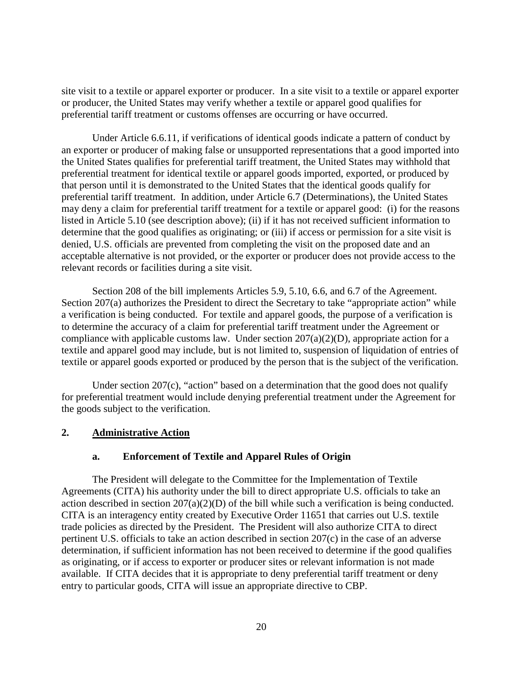site visit to a textile or apparel exporter or producer. In a site visit to a textile or apparel exporter or producer, the United States may verify whether a textile or apparel good qualifies for preferential tariff treatment or customs offenses are occurring or have occurred.

Under Article 6.6.11, if verifications of identical goods indicate a pattern of conduct by an exporter or producer of making false or unsupported representations that a good imported into the United States qualifies for preferential tariff treatment, the United States may withhold that preferential treatment for identical textile or apparel goods imported, exported, or produced by that person until it is demonstrated to the United States that the identical goods qualify for preferential tariff treatment. In addition, under Article 6.7 (Determinations), the United States may deny a claim for preferential tariff treatment for a textile or apparel good: (i) for the reasons listed in Article 5.10 (see description above); (ii) if it has not received sufficient information to determine that the good qualifies as originating; or (iii) if access or permission for a site visit is denied, U.S. officials are prevented from completing the visit on the proposed date and an acceptable alternative is not provided, or the exporter or producer does not provide access to the relevant records or facilities during a site visit.

Section 208 of the bill implements Articles 5.9, 5.10, 6.6, and 6.7 of the Agreement. Section 207(a) authorizes the President to direct the Secretary to take "appropriate action" while a verification is being conducted. For textile and apparel goods, the purpose of a verification is to determine the accuracy of a claim for preferential tariff treatment under the Agreement or compliance with applicable customs law. Under section  $207(a)(2)(D)$ , appropriate action for a textile and apparel good may include, but is not limited to, suspension of liquidation of entries of textile or apparel goods exported or produced by the person that is the subject of the verification.

Under section 207(c), "action" based on a determination that the good does not qualify for preferential treatment would include denying preferential treatment under the Agreement for the goods subject to the verification.

#### **2. Administrative Action**

#### **a. Enforcement of Textile and Apparel Rules of Origin**

The President will delegate to the Committee for the Implementation of Textile Agreements (CITA) his authority under the bill to direct appropriate U.S. officials to take an action described in section 207(a)(2)(D) of the bill while such a verification is being conducted. CITA is an interagency entity created by Executive Order 11651 that carries out U.S. textile trade policies as directed by the President. The President will also authorize CITA to direct pertinent U.S. officials to take an action described in section 207(c) in the case of an adverse determination, if sufficient information has not been received to determine if the good qualifies as originating, or if access to exporter or producer sites or relevant information is not made available. If CITA decides that it is appropriate to deny preferential tariff treatment or deny entry to particular goods, CITA will issue an appropriate directive to CBP.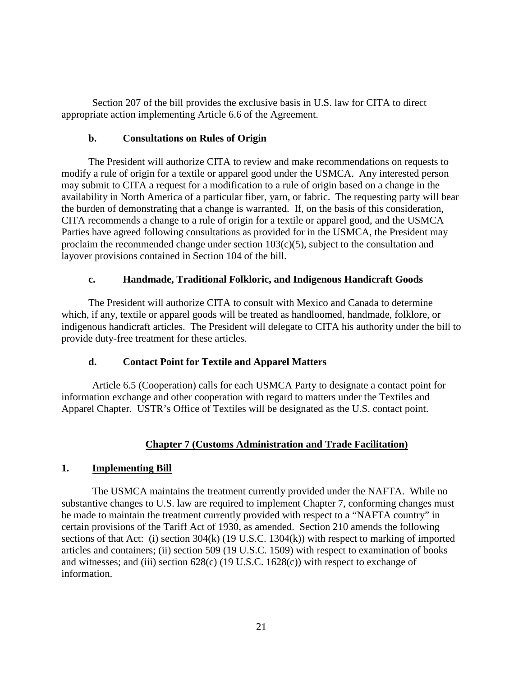Section 207 of the bill provides the exclusive basis in U.S. law for CITA to direct appropriate action implementing Article 6.6 of the Agreement.

# **b. Consultations on Rules of Origin**

The President will authorize CITA to review and make recommendations on requests to modify a rule of origin for a textile or apparel good under the USMCA. Any interested person may submit to CITA a request for a modification to a rule of origin based on a change in the availability in North America of a particular fiber, yarn, or fabric. The requesting party will bear the burden of demonstrating that a change is warranted. If, on the basis of this consideration, CITA recommends a change to a rule of origin for a textile or apparel good, and the USMCA Parties have agreed following consultations as provided for in the USMCA, the President may proclaim the recommended change under section  $103(c)(5)$ , subject to the consultation and layover provisions contained in Section 104 of the bill.

# **c. Handmade, Traditional Folkloric, and Indigenous Handicraft Goods**

The President will authorize CITA to consult with Mexico and Canada to determine which, if any, textile or apparel goods will be treated as handloomed, handmade, folklore, or indigenous handicraft articles. The President will delegate to CITA his authority under the bill to provide duty-free treatment for these articles.

# **d. Contact Point for Textile and Apparel Matters**

Article 6.5 (Cooperation) calls for each USMCA Party to designate a contact point for information exchange and other cooperation with regard to matters under the Textiles and Apparel Chapter. USTR's Office of Textiles will be designated as the U.S. contact point.

# **Chapter 7 (Customs Administration and Trade Facilitation)**

# **1. Implementing Bill**

The USMCA maintains the treatment currently provided under the NAFTA. While no substantive changes to U.S. law are required to implement Chapter 7, conforming changes must be made to maintain the treatment currently provided with respect to a "NAFTA country" in certain provisions of the Tariff Act of 1930, as amended. Section 210 amends the following sections of that Act: (i) section 304(k) (19 U.S.C. 1304(k)) with respect to marking of imported articles and containers; (ii) section 509 (19 U.S.C. 1509) with respect to examination of books and witnesses; and (iii) section 628(c) (19 U.S.C. 1628(c)) with respect to exchange of information.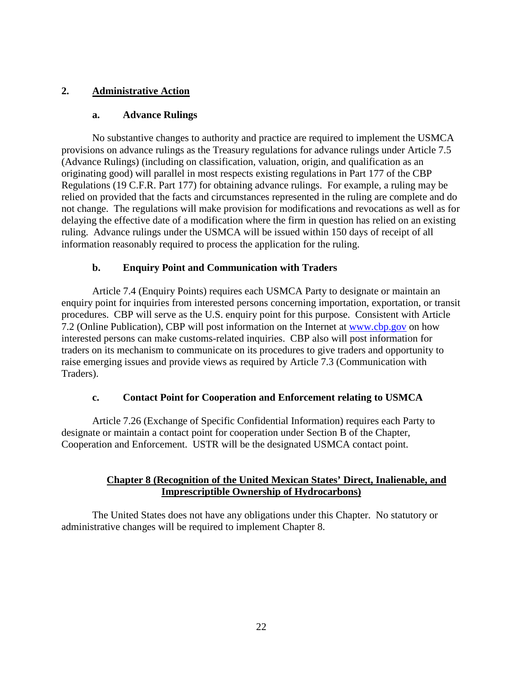# **2. Administrative Action**

# **a. Advance Rulings**

No substantive changes to authority and practice are required to implement the USMCA provisions on advance rulings as the Treasury regulations for advance rulings under Article 7.5 (Advance Rulings) (including on classification, valuation, origin, and qualification as an originating good) will parallel in most respects existing regulations in Part 177 of the CBP Regulations (19 C.F.R. Part 177) for obtaining advance rulings. For example, a ruling may be relied on provided that the facts and circumstances represented in the ruling are complete and do not change. The regulations will make provision for modifications and revocations as well as for delaying the effective date of a modification where the firm in question has relied on an existing ruling. Advance rulings under the USMCA will be issued within 150 days of receipt of all information reasonably required to process the application for the ruling.

# **b. Enquiry Point and Communication with Traders**

Article 7.4 (Enquiry Points) requires each USMCA Party to designate or maintain an enquiry point for inquiries from interested persons concerning importation, exportation, or transit procedures. CBP will serve as the U.S. enquiry point for this purpose. Consistent with Article 7.2 (Online Publication), CBP will post information on the Internet at [www.cbp.gov](http://www.cbp.gov/) on how interested persons can make customs-related inquiries. CBP also will post information for traders on its mechanism to communicate on its procedures to give traders and opportunity to raise emerging issues and provide views as required by Article 7.3 (Communication with Traders).

# **c. Contact Point for Cooperation and Enforcement relating to USMCA**

Article 7.26 (Exchange of Specific Confidential Information) requires each Party to designate or maintain a contact point for cooperation under Section B of the Chapter, Cooperation and Enforcement. USTR will be the designated USMCA contact point.

# **Chapter 8 (Recognition of the United Mexican States' Direct, Inalienable, and Imprescriptible Ownership of Hydrocarbons)**

The United States does not have any obligations under this Chapter. No statutory or administrative changes will be required to implement Chapter 8.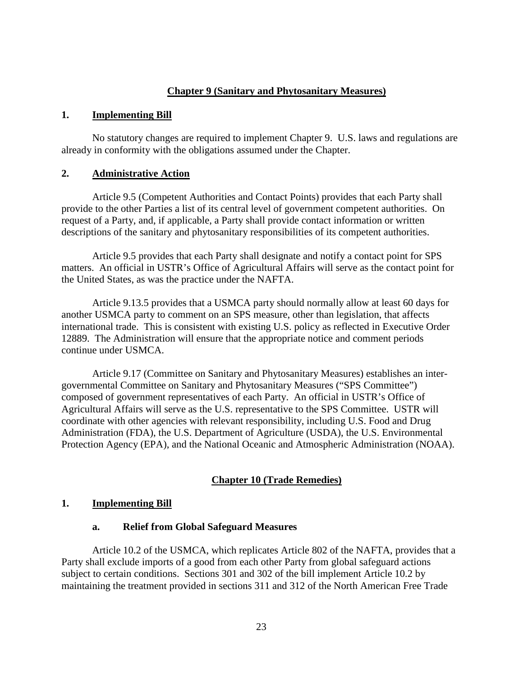#### **Chapter 9 (Sanitary and Phytosanitary Measures)**

#### **1. Implementing Bill**

No statutory changes are required to implement Chapter 9. U.S. laws and regulations are already in conformity with the obligations assumed under the Chapter.

#### **2. Administrative Action**

Article 9.5 (Competent Authorities and Contact Points) provides that each Party shall provide to the other Parties a list of its central level of government competent authorities. On request of a Party, and, if applicable, a Party shall provide contact information or written descriptions of the sanitary and phytosanitary responsibilities of its competent authorities.

Article 9.5 provides that each Party shall designate and notify a contact point for SPS matters. An official in USTR's Office of Agricultural Affairs will serve as the contact point for the United States, as was the practice under the NAFTA.

Article 9.13.5 provides that a USMCA party should normally allow at least 60 days for another USMCA party to comment on an SPS measure, other than legislation, that affects international trade. This is consistent with existing U.S. policy as reflected in Executive Order 12889. The Administration will ensure that the appropriate notice and comment periods continue under USMCA.

Article 9.17 (Committee on Sanitary and Phytosanitary Measures) establishes an intergovernmental Committee on Sanitary and Phytosanitary Measures ("SPS Committee") composed of government representatives of each Party. An official in USTR's Office of Agricultural Affairs will serve as the U.S. representative to the SPS Committee. USTR will coordinate with other agencies with relevant responsibility, including U.S. Food and Drug Administration (FDA), the U.S. Department of Agriculture (USDA), the U.S. Environmental Protection Agency (EPA), and the National Oceanic and Atmospheric Administration (NOAA).

#### **Chapter 10 (Trade Remedies)**

#### **1. Implementing Bill**

#### **a. Relief from Global Safeguard Measures**

Article 10.2 of the USMCA, which replicates Article 802 of the NAFTA, provides that a Party shall exclude imports of a good from each other Party from global safeguard actions subject to certain conditions. Sections 301 and 302 of the bill implement Article 10.2 by maintaining the treatment provided in sections 311 and 312 of the North American Free Trade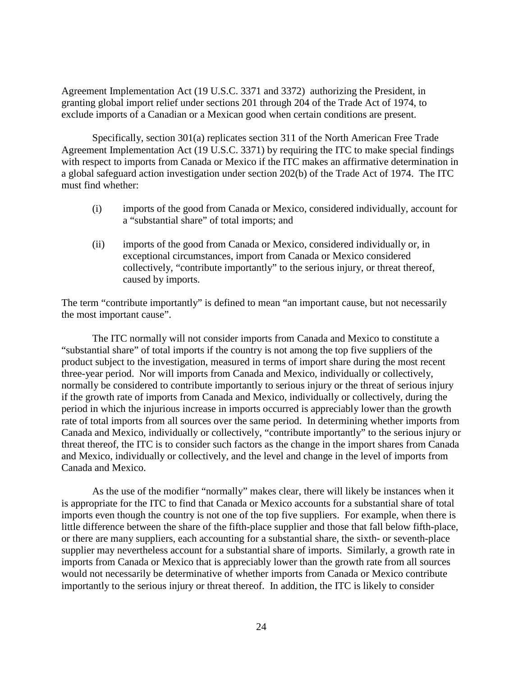Agreement Implementation Act (19 U.S.C. 3371 and 3372) authorizing the President, in granting global import relief under sections 201 through 204 of the Trade Act of 1974, to exclude imports of a Canadian or a Mexican good when certain conditions are present.

Specifically, section 301(a) replicates section 311 of the North American Free Trade Agreement Implementation Act (19 U.S.C. 3371) by requiring the ITC to make special findings with respect to imports from Canada or Mexico if the ITC makes an affirmative determination in a global safeguard action investigation under section 202(b) of the Trade Act of 1974. The ITC must find whether:

- (i) imports of the good from Canada or Mexico, considered individually, account for a "substantial share" of total imports; and
- (ii) imports of the good from Canada or Mexico, considered individually or, in exceptional circumstances, import from Canada or Mexico considered collectively, "contribute importantly" to the serious injury, or threat thereof, caused by imports.

The term "contribute importantly" is defined to mean "an important cause, but not necessarily the most important cause".

The ITC normally will not consider imports from Canada and Mexico to constitute a "substantial share" of total imports if the country is not among the top five suppliers of the product subject to the investigation, measured in terms of import share during the most recent three-year period. Nor will imports from Canada and Mexico, individually or collectively, normally be considered to contribute importantly to serious injury or the threat of serious injury if the growth rate of imports from Canada and Mexico, individually or collectively, during the period in which the injurious increase in imports occurred is appreciably lower than the growth rate of total imports from all sources over the same period. In determining whether imports from Canada and Mexico, individually or collectively, "contribute importantly" to the serious injury or threat thereof, the ITC is to consider such factors as the change in the import shares from Canada and Mexico, individually or collectively, and the level and change in the level of imports from Canada and Mexico.

As the use of the modifier "normally" makes clear, there will likely be instances when it is appropriate for the ITC to find that Canada or Mexico accounts for a substantial share of total imports even though the country is not one of the top five suppliers. For example, when there is little difference between the share of the fifth-place supplier and those that fall below fifth-place, or there are many suppliers, each accounting for a substantial share, the sixth- or seventh-place supplier may nevertheless account for a substantial share of imports. Similarly, a growth rate in imports from Canada or Mexico that is appreciably lower than the growth rate from all sources would not necessarily be determinative of whether imports from Canada or Mexico contribute importantly to the serious injury or threat thereof. In addition, the ITC is likely to consider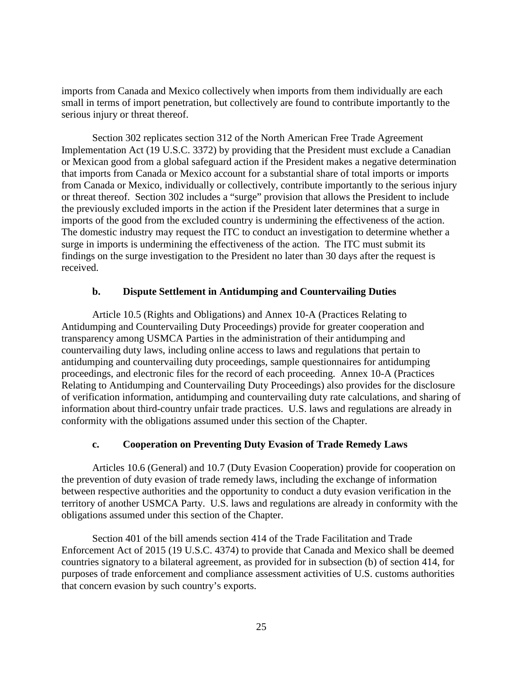imports from Canada and Mexico collectively when imports from them individually are each small in terms of import penetration, but collectively are found to contribute importantly to the serious injury or threat thereof.

Section 302 replicates section 312 of the North American Free Trade Agreement Implementation Act (19 U.S.C. 3372) by providing that the President must exclude a Canadian or Mexican good from a global safeguard action if the President makes a negative determination that imports from Canada or Mexico account for a substantial share of total imports or imports from Canada or Mexico, individually or collectively, contribute importantly to the serious injury or threat thereof. Section 302 includes a "surge" provision that allows the President to include the previously excluded imports in the action if the President later determines that a surge in imports of the good from the excluded country is undermining the effectiveness of the action. The domestic industry may request the ITC to conduct an investigation to determine whether a surge in imports is undermining the effectiveness of the action. The ITC must submit its findings on the surge investigation to the President no later than 30 days after the request is received.

# **b. Dispute Settlement in Antidumping and Countervailing Duties**

Article 10.5 (Rights and Obligations) and Annex 10-A (Practices Relating to Antidumping and Countervailing Duty Proceedings) provide for greater cooperation and transparency among USMCA Parties in the administration of their antidumping and countervailing duty laws, including online access to laws and regulations that pertain to antidumping and countervailing duty proceedings, sample questionnaires for antidumping proceedings, and electronic files for the record of each proceeding. Annex 10-A (Practices Relating to Antidumping and Countervailing Duty Proceedings) also provides for the disclosure of verification information, antidumping and countervailing duty rate calculations, and sharing of information about third-country unfair trade practices. U.S. laws and regulations are already in conformity with the obligations assumed under this section of the Chapter.

# **c. Cooperation on Preventing Duty Evasion of Trade Remedy Laws**

Articles 10.6 (General) and 10.7 (Duty Evasion Cooperation) provide for cooperation on the prevention of duty evasion of trade remedy laws, including the exchange of information between respective authorities and the opportunity to conduct a duty evasion verification in the territory of another USMCA Party. U.S. laws and regulations are already in conformity with the obligations assumed under this section of the Chapter.

Section 401 of the bill amends section 414 of the Trade Facilitation and Trade Enforcement Act of 2015 (19 U.S.C. 4374) to provide that Canada and Mexico shall be deemed countries signatory to a bilateral agreement, as provided for in subsection (b) of section 414, for purposes of trade enforcement and compliance assessment activities of U.S. customs authorities that concern evasion by such country's exports.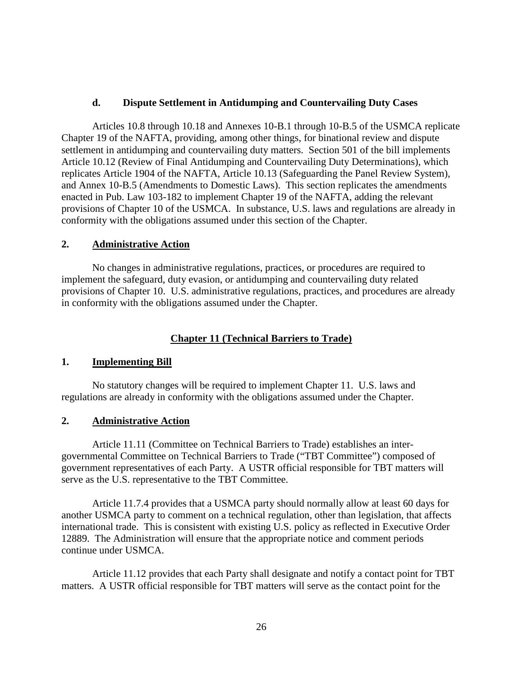#### **d. Dispute Settlement in Antidumping and Countervailing Duty Cases**

Articles 10.8 through 10.18 and Annexes 10-B.1 through 10-B.5 of the USMCA replicate Chapter 19 of the NAFTA, providing, among other things, for binational review and dispute settlement in antidumping and countervailing duty matters. Section 501 of the bill implements Article 10.12 (Review of Final Antidumping and Countervailing Duty Determinations), which replicates Article 1904 of the NAFTA, Article 10.13 (Safeguarding the Panel Review System), and Annex 10-B.5 (Amendments to Domestic Laws). This section replicates the amendments enacted in Pub. Law 103-182 to implement Chapter 19 of the NAFTA, adding the relevant provisions of Chapter 10 of the USMCA. In substance, U.S. laws and regulations are already in conformity with the obligations assumed under this section of the Chapter.

#### **2. Administrative Action**

No changes in administrative regulations, practices, or procedures are required to implement the safeguard, duty evasion, or antidumping and countervailing duty related provisions of Chapter 10. U.S. administrative regulations, practices, and procedures are already in conformity with the obligations assumed under the Chapter.

# **Chapter 11 (Technical Barriers to Trade)**

#### **1. Implementing Bill**

No statutory changes will be required to implement Chapter 11. U.S. laws and regulations are already in conformity with the obligations assumed under the Chapter.

# **2. Administrative Action**

Article 11.11 (Committee on Technical Barriers to Trade) establishes an intergovernmental Committee on Technical Barriers to Trade ("TBT Committee") composed of government representatives of each Party. A USTR official responsible for TBT matters will serve as the U.S. representative to the TBT Committee.

Article 11.7.4 provides that a USMCA party should normally allow at least 60 days for another USMCA party to comment on a technical regulation, other than legislation, that affects international trade. This is consistent with existing U.S. policy as reflected in Executive Order 12889. The Administration will ensure that the appropriate notice and comment periods continue under USMCA.

Article 11.12 provides that each Party shall designate and notify a contact point for TBT matters. A USTR official responsible for TBT matters will serve as the contact point for the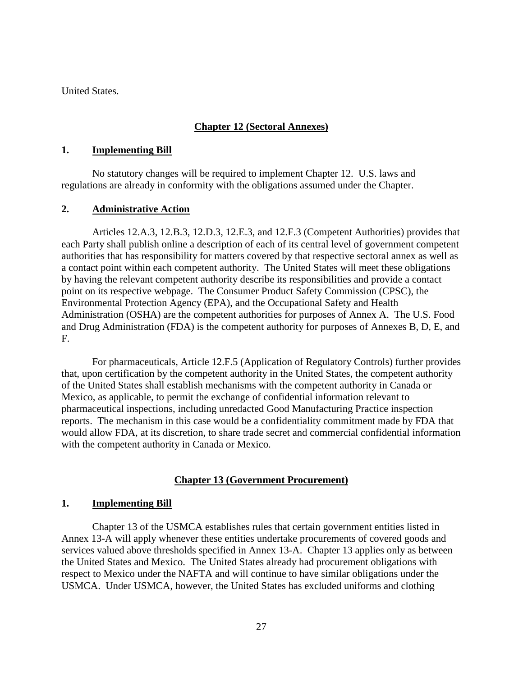United States.

# **Chapter 12 (Sectoral Annexes)**

# **1. Implementing Bill**

No statutory changes will be required to implement Chapter 12. U.S. laws and regulations are already in conformity with the obligations assumed under the Chapter.

# **2. Administrative Action**

Articles 12.A.3, 12.B.3, 12.D.3, 12.E.3, and 12.F.3 (Competent Authorities) provides that each Party shall publish online a description of each of its central level of government competent authorities that has responsibility for matters covered by that respective sectoral annex as well as a contact point within each competent authority. The United States will meet these obligations by having the relevant competent authority describe its responsibilities and provide a contact point on its respective webpage. The Consumer Product Safety Commission (CPSC), the Environmental Protection Agency (EPA), and the Occupational Safety and Health Administration (OSHA) are the competent authorities for purposes of Annex A. The U.S. Food and Drug Administration (FDA) is the competent authority for purposes of Annexes B, D, E, and F.

For pharmaceuticals, Article 12.F.5 (Application of Regulatory Controls) further provides that, upon certification by the competent authority in the United States, the competent authority of the United States shall establish mechanisms with the competent authority in Canada or Mexico, as applicable, to permit the exchange of confidential information relevant to pharmaceutical inspections, including unredacted Good Manufacturing Practice inspection reports. The mechanism in this case would be a confidentiality commitment made by FDA that would allow FDA, at its discretion, to share trade secret and commercial confidential information with the competent authority in Canada or Mexico.

# **Chapter 13 (Government Procurement)**

# **1. Implementing Bill**

Chapter 13 of the USMCA establishes rules that certain government entities listed in Annex 13-A will apply whenever these entities undertake procurements of covered goods and services valued above thresholds specified in Annex 13-A. Chapter 13 applies only as between the United States and Mexico. The United States already had procurement obligations with respect to Mexico under the NAFTA and will continue to have similar obligations under the USMCA. Under USMCA, however, the United States has excluded uniforms and clothing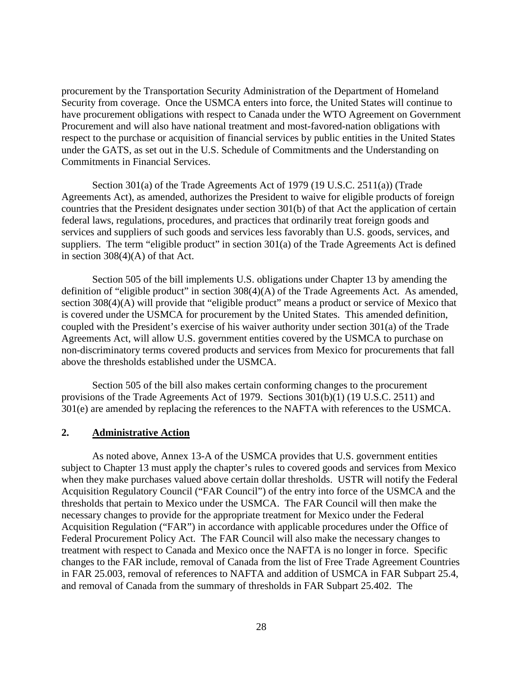procurement by the Transportation Security Administration of the Department of Homeland Security from coverage. Once the USMCA enters into force, the United States will continue to have procurement obligations with respect to Canada under the WTO Agreement on Government Procurement and will also have national treatment and most-favored-nation obligations with respect to the purchase or acquisition of financial services by public entities in the United States under the GATS, as set out in the U.S. Schedule of Commitments and the Understanding on Commitments in Financial Services.

Section 301(a) of the Trade Agreements Act of 1979 (19 U.S.C. 2511(a)) (Trade Agreements Act), as amended, authorizes the President to waive for eligible products of foreign countries that the President designates under section 301(b) of that Act the application of certain federal laws, regulations, procedures, and practices that ordinarily treat foreign goods and services and suppliers of such goods and services less favorably than U.S. goods, services, and suppliers. The term "eligible product" in section 301(a) of the Trade Agreements Act is defined in section 308(4)(A) of that Act.

Section 505 of the bill implements U.S. obligations under Chapter 13 by amending the definition of "eligible product" in section 308(4)(A) of the Trade Agreements Act. As amended, section 308(4)(A) will provide that "eligible product" means a product or service of Mexico that is covered under the USMCA for procurement by the United States. This amended definition, coupled with the President's exercise of his waiver authority under section 301(a) of the Trade Agreements Act, will allow U.S. government entities covered by the USMCA to purchase on non-discriminatory terms covered products and services from Mexico for procurements that fall above the thresholds established under the USMCA.

Section 505 of the bill also makes certain conforming changes to the procurement provisions of the Trade Agreements Act of 1979. Sections 301(b)(1) (19 U.S.C. 2511) and 301(e) are amended by replacing the references to the NAFTA with references to the USMCA.

#### **2. Administrative Action**

As noted above, Annex 13-A of the USMCA provides that U.S. government entities subject to Chapter 13 must apply the chapter's rules to covered goods and services from Mexico when they make purchases valued above certain dollar thresholds. USTR will notify the Federal Acquisition Regulatory Council ("FAR Council") of the entry into force of the USMCA and the thresholds that pertain to Mexico under the USMCA. The FAR Council will then make the necessary changes to provide for the appropriate treatment for Mexico under the Federal Acquisition Regulation ("FAR") in accordance with applicable procedures under the Office of Federal Procurement Policy Act. The FAR Council will also make the necessary changes to treatment with respect to Canada and Mexico once the NAFTA is no longer in force. Specific changes to the FAR include, removal of Canada from the list of Free Trade Agreement Countries in FAR 25.003, removal of references to NAFTA and addition of USMCA in FAR Subpart 25.4, and removal of Canada from the summary of thresholds in FAR Subpart 25.402. The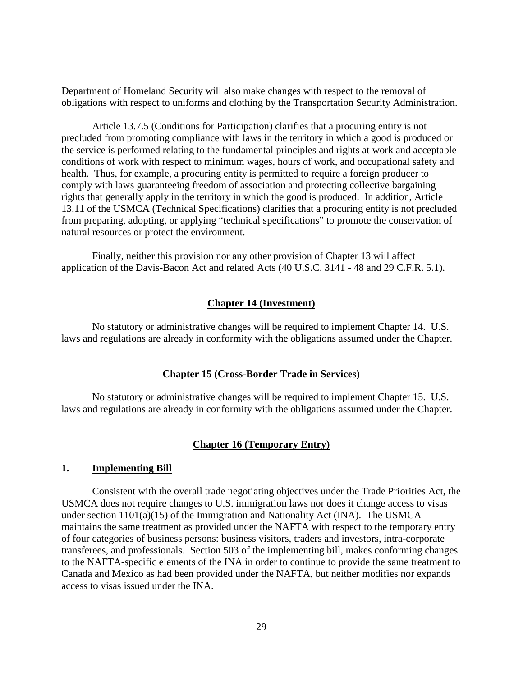Department of Homeland Security will also make changes with respect to the removal of obligations with respect to uniforms and clothing by the Transportation Security Administration.

Article 13.7.5 (Conditions for Participation) clarifies that a procuring entity is not precluded from promoting compliance with laws in the territory in which a good is produced or the service is performed relating to the fundamental principles and rights at work and acceptable conditions of work with respect to minimum wages, hours of work, and occupational safety and health. Thus, for example, a procuring entity is permitted to require a foreign producer to comply with laws guaranteeing freedom of association and protecting collective bargaining rights that generally apply in the territory in which the good is produced. In addition, Article 13.11 of the USMCA (Technical Specifications) clarifies that a procuring entity is not precluded from preparing, adopting, or applying "technical specifications" to promote the conservation of natural resources or protect the environment.

Finally, neither this provision nor any other provision of Chapter 13 will affect application of the Davis-Bacon Act and related Acts (40 U.S.C. 3141 - 48 and 29 C.F.R. 5.1).

#### **Chapter 14 (Investment)**

No statutory or administrative changes will be required to implement Chapter 14. U.S. laws and regulations are already in conformity with the obligations assumed under the Chapter.

#### **Chapter 15 (Cross-Border Trade in Services)**

No statutory or administrative changes will be required to implement Chapter 15. U.S. laws and regulations are already in conformity with the obligations assumed under the Chapter.

#### **Chapter 16 (Temporary Entry)**

#### **1. Implementing Bill**

Consistent with the overall trade negotiating objectives under the Trade Priorities Act, the USMCA does not require changes to U.S. immigration laws nor does it change access to visas under section  $1101(a)(15)$  of the Immigration and Nationality Act (INA). The USMCA maintains the same treatment as provided under the NAFTA with respect to the temporary entry of four categories of business persons: business visitors, traders and investors, intra-corporate transferees, and professionals. Section 503 of the implementing bill, makes conforming changes to the NAFTA-specific elements of the INA in order to continue to provide the same treatment to Canada and Mexico as had been provided under the NAFTA, but neither modifies nor expands access to visas issued under the INA.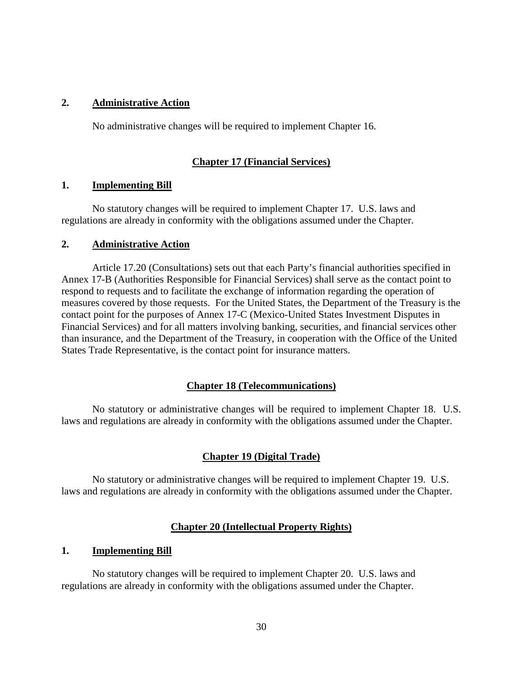# **2. Administrative Action**

No administrative changes will be required to implement Chapter 16.

# **Chapter 17 (Financial Services)**

# **1. Implementing Bill**

No statutory changes will be required to implement Chapter 17. U.S. laws and regulations are already in conformity with the obligations assumed under the Chapter.

#### **2. Administrative Action**

Article 17.20 (Consultations) sets out that each Party's financial authorities specified in Annex 17-B (Authorities Responsible for Financial Services) shall serve as the contact point to respond to requests and to facilitate the exchange of information regarding the operation of measures covered by those requests. For the United States, the Department of the Treasury is the contact point for the purposes of Annex 17-C (Mexico-United States Investment Disputes in Financial Services) and for all matters involving banking, securities, and financial services other than insurance, and the Department of the Treasury, in cooperation with the Office of the United States Trade Representative, is the contact point for insurance matters.

# **Chapter 18 (Telecommunications)**

No statutory or administrative changes will be required to implement Chapter 18. U.S. laws and regulations are already in conformity with the obligations assumed under the Chapter.

# **Chapter 19 (Digital Trade)**

No statutory or administrative changes will be required to implement Chapter 19. U.S. laws and regulations are already in conformity with the obligations assumed under the Chapter.

# **Chapter 20 (Intellectual Property Rights)**

#### **1. Implementing Bill**

No statutory changes will be required to implement Chapter 20. U.S. laws and regulations are already in conformity with the obligations assumed under the Chapter.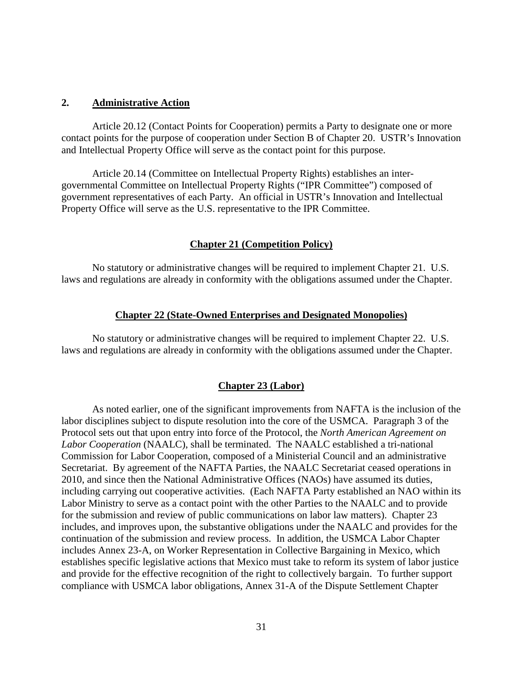#### **2. Administrative Action**

Article 20.12 (Contact Points for Cooperation) permits a Party to designate one or more contact points for the purpose of cooperation under Section B of Chapter 20. USTR's Innovation and Intellectual Property Office will serve as the contact point for this purpose.

Article 20.14 (Committee on Intellectual Property Rights) establishes an intergovernmental Committee on Intellectual Property Rights ("IPR Committee") composed of government representatives of each Party. An official in USTR's Innovation and Intellectual Property Office will serve as the U.S. representative to the IPR Committee.

#### **Chapter 21 (Competition Policy)**

No statutory or administrative changes will be required to implement Chapter 21. U.S. laws and regulations are already in conformity with the obligations assumed under the Chapter.

#### **Chapter 22 (State-Owned Enterprises and Designated Monopolies)**

No statutory or administrative changes will be required to implement Chapter 22. U.S. laws and regulations are already in conformity with the obligations assumed under the Chapter.

#### **Chapter 23 (Labor)**

As noted earlier, one of the significant improvements from NAFTA is the inclusion of the labor disciplines subject to dispute resolution into the core of the USMCA. Paragraph 3 of the Protocol sets out that upon entry into force of the Protocol, the *North American Agreement on Labor Cooperation* (NAALC), shall be terminated. The NAALC established a tri-national Commission for Labor Cooperation, composed of a Ministerial Council and an administrative Secretariat. By agreement of the NAFTA Parties, the NAALC Secretariat ceased operations in 2010, and since then the National Administrative Offices (NAOs) have assumed its duties, including carrying out cooperative activities. (Each NAFTA Party established an NAO within its Labor Ministry to serve as a contact point with the other Parties to the NAALC and to provide for the submission and review of public communications on labor law matters). Chapter 23 includes, and improves upon, the substantive obligations under the NAALC and provides for the continuation of the submission and review process. In addition, the USMCA Labor Chapter includes Annex 23-A, on Worker Representation in Collective Bargaining in Mexico, which establishes specific legislative actions that Mexico must take to reform its system of labor justice and provide for the effective recognition of the right to collectively bargain. To further support compliance with USMCA labor obligations, Annex 31-A of the Dispute Settlement Chapter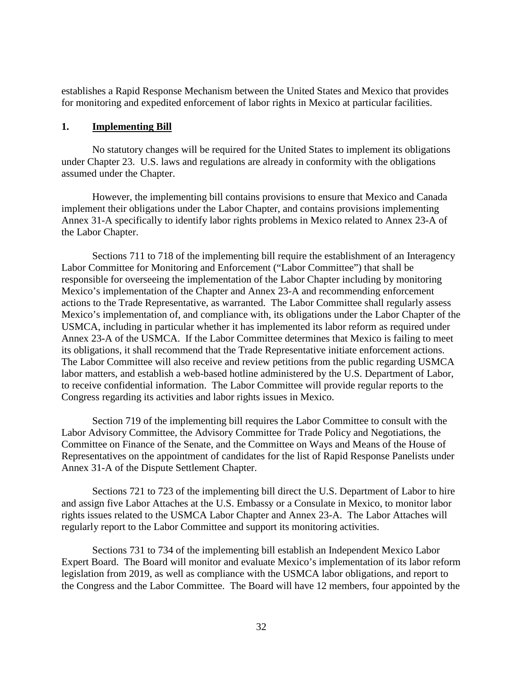establishes a Rapid Response Mechanism between the United States and Mexico that provides for monitoring and expedited enforcement of labor rights in Mexico at particular facilities.

#### **1. Implementing Bill**

No statutory changes will be required for the United States to implement its obligations under Chapter 23. U.S. laws and regulations are already in conformity with the obligations assumed under the Chapter.

However, the implementing bill contains provisions to ensure that Mexico and Canada implement their obligations under the Labor Chapter, and contains provisions implementing Annex 31-A specifically to identify labor rights problems in Mexico related to Annex 23-A of the Labor Chapter.

Sections 711 to 718 of the implementing bill require the establishment of an Interagency Labor Committee for Monitoring and Enforcement ("Labor Committee") that shall be responsible for overseeing the implementation of the Labor Chapter including by monitoring Mexico's implementation of the Chapter and Annex 23-A and recommending enforcement actions to the Trade Representative, as warranted. The Labor Committee shall regularly assess Mexico's implementation of, and compliance with, its obligations under the Labor Chapter of the USMCA, including in particular whether it has implemented its labor reform as required under Annex 23-A of the USMCA. If the Labor Committee determines that Mexico is failing to meet its obligations, it shall recommend that the Trade Representative initiate enforcement actions. The Labor Committee will also receive and review petitions from the public regarding USMCA labor matters, and establish a web-based hotline administered by the U.S. Department of Labor, to receive confidential information. The Labor Committee will provide regular reports to the Congress regarding its activities and labor rights issues in Mexico.

Section 719 of the implementing bill requires the Labor Committee to consult with the Labor Advisory Committee, the Advisory Committee for Trade Policy and Negotiations, the Committee on Finance of the Senate, and the Committee on Ways and Means of the House of Representatives on the appointment of candidates for the list of Rapid Response Panelists under Annex 31-A of the Dispute Settlement Chapter.

Sections 721 to 723 of the implementing bill direct the U.S. Department of Labor to hire and assign five Labor Attaches at the U.S. Embassy or a Consulate in Mexico, to monitor labor rights issues related to the USMCA Labor Chapter and Annex 23-A. The Labor Attaches will regularly report to the Labor Committee and support its monitoring activities.

Sections 731 to 734 of the implementing bill establish an Independent Mexico Labor Expert Board. The Board will monitor and evaluate Mexico's implementation of its labor reform legislation from 2019, as well as compliance with the USMCA labor obligations, and report to the Congress and the Labor Committee. The Board will have 12 members, four appointed by the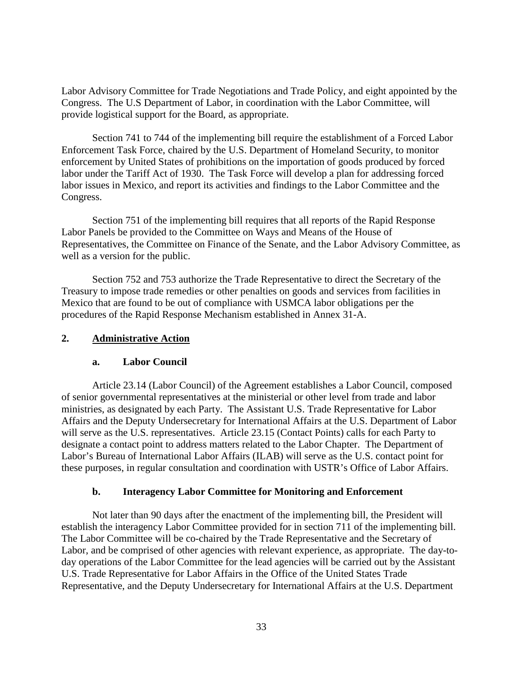Labor Advisory Committee for Trade Negotiations and Trade Policy, and eight appointed by the Congress. The U.S Department of Labor, in coordination with the Labor Committee, will provide logistical support for the Board, as appropriate.

Section 741 to 744 of the implementing bill require the establishment of a Forced Labor Enforcement Task Force, chaired by the U.S. Department of Homeland Security, to monitor enforcement by United States of prohibitions on the importation of goods produced by forced labor under the Tariff Act of 1930. The Task Force will develop a plan for addressing forced labor issues in Mexico, and report its activities and findings to the Labor Committee and the Congress.

Section 751 of the implementing bill requires that all reports of the Rapid Response Labor Panels be provided to the Committee on Ways and Means of the House of Representatives, the Committee on Finance of the Senate, and the Labor Advisory Committee, as well as a version for the public.

Section 752 and 753 authorize the Trade Representative to direct the Secretary of the Treasury to impose trade remedies or other penalties on goods and services from facilities in Mexico that are found to be out of compliance with USMCA labor obligations per the procedures of the Rapid Response Mechanism established in Annex 31-A.

# **2. Administrative Action**

# **a. Labor Council**

Article 23.14 (Labor Council) of the Agreement establishes a Labor Council, composed of senior governmental representatives at the ministerial or other level from trade and labor ministries, as designated by each Party. The Assistant U.S. Trade Representative for Labor Affairs and the Deputy Undersecretary for International Affairs at the U.S. Department of Labor will serve as the U.S. representatives. Article 23.15 (Contact Points) calls for each Party to designate a contact point to address matters related to the Labor Chapter. The Department of Labor's Bureau of International Labor Affairs (ILAB) will serve as the U.S. contact point for these purposes, in regular consultation and coordination with USTR's Office of Labor Affairs.

# **b. Interagency Labor Committee for Monitoring and Enforcement**

Not later than 90 days after the enactment of the implementing bill, the President will establish the interagency Labor Committee provided for in section 711 of the implementing bill. The Labor Committee will be co-chaired by the Trade Representative and the Secretary of Labor, and be comprised of other agencies with relevant experience, as appropriate. The day-today operations of the Labor Committee for the lead agencies will be carried out by the Assistant U.S. Trade Representative for Labor Affairs in the Office of the United States Trade Representative, and the Deputy Undersecretary for International Affairs at the U.S. Department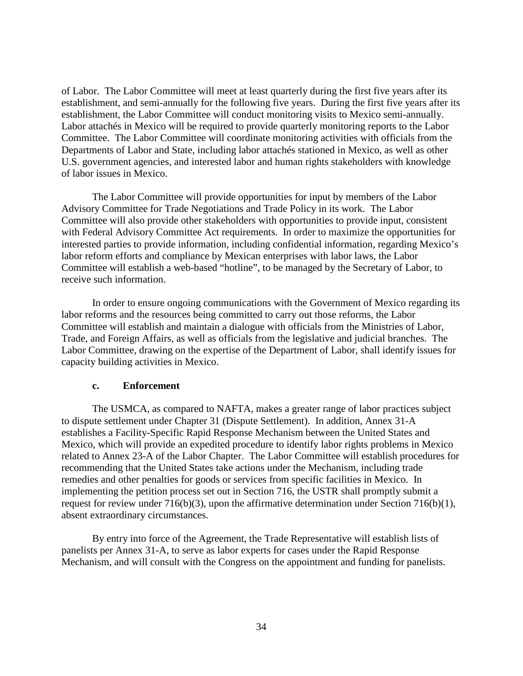of Labor. The Labor Committee will meet at least quarterly during the first five years after its establishment, and semi-annually for the following five years. During the first five years after its establishment, the Labor Committee will conduct monitoring visits to Mexico semi-annually. Labor attachés in Mexico will be required to provide quarterly monitoring reports to the Labor Committee. The Labor Committee will coordinate monitoring activities with officials from the Departments of Labor and State, including labor attachés stationed in Mexico, as well as other U.S. government agencies, and interested labor and human rights stakeholders with knowledge of labor issues in Mexico.

The Labor Committee will provide opportunities for input by members of the Labor Advisory Committee for Trade Negotiations and Trade Policy in its work. The Labor Committee will also provide other stakeholders with opportunities to provide input, consistent with Federal Advisory Committee Act requirements. In order to maximize the opportunities for interested parties to provide information, including confidential information, regarding Mexico's labor reform efforts and compliance by Mexican enterprises with labor laws, the Labor Committee will establish a web-based "hotline", to be managed by the Secretary of Labor, to receive such information.

In order to ensure ongoing communications with the Government of Mexico regarding its labor reforms and the resources being committed to carry out those reforms, the Labor Committee will establish and maintain a dialogue with officials from the Ministries of Labor, Trade, and Foreign Affairs, as well as officials from the legislative and judicial branches. The Labor Committee, drawing on the expertise of the Department of Labor, shall identify issues for capacity building activities in Mexico.

#### **c. Enforcement**

The USMCA, as compared to NAFTA, makes a greater range of labor practices subject to dispute settlement under Chapter 31 (Dispute Settlement). In addition, Annex 31-A establishes a Facility-Specific Rapid Response Mechanism between the United States and Mexico, which will provide an expedited procedure to identify labor rights problems in Mexico related to Annex 23-A of the Labor Chapter. The Labor Committee will establish procedures for recommending that the United States take actions under the Mechanism, including trade remedies and other penalties for goods or services from specific facilities in Mexico. In implementing the petition process set out in Section 716, the USTR shall promptly submit a request for review under 716(b)(3), upon the affirmative determination under Section 716(b)(1), absent extraordinary circumstances.

By entry into force of the Agreement, the Trade Representative will establish lists of panelists per Annex 31-A, to serve as labor experts for cases under the Rapid Response Mechanism, and will consult with the Congress on the appointment and funding for panelists.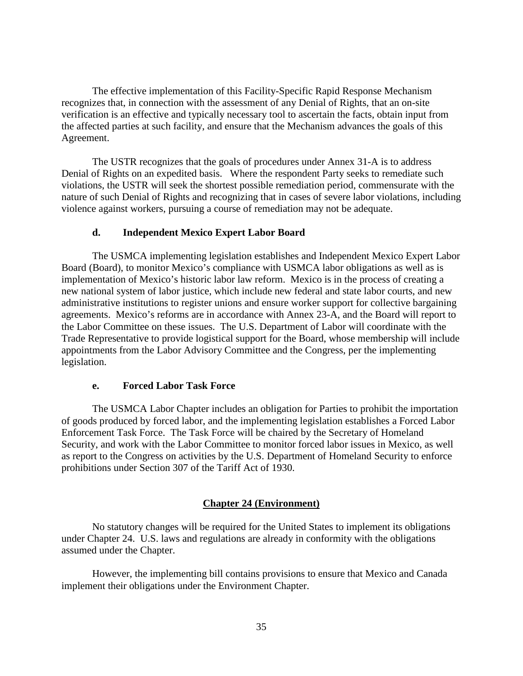The effective implementation of this Facility-Specific Rapid Response Mechanism recognizes that, in connection with the assessment of any Denial of Rights, that an on-site verification is an effective and typically necessary tool to ascertain the facts, obtain input from the affected parties at such facility, and ensure that the Mechanism advances the goals of this Agreement.

The USTR recognizes that the goals of procedures under Annex 31-A is to address Denial of Rights on an expedited basis. Where the respondent Party seeks to remediate such violations, the USTR will seek the shortest possible remediation period, commensurate with the nature of such Denial of Rights and recognizing that in cases of severe labor violations, including violence against workers, pursuing a course of remediation may not be adequate.

# **d. Independent Mexico Expert Labor Board**

The USMCA implementing legislation establishes and Independent Mexico Expert Labor Board (Board), to monitor Mexico's compliance with USMCA labor obligations as well as is implementation of Mexico's historic labor law reform. Mexico is in the process of creating a new national system of labor justice, which include new federal and state labor courts, and new administrative institutions to register unions and ensure worker support for collective bargaining agreements. Mexico's reforms are in accordance with Annex 23-A, and the Board will report to the Labor Committee on these issues. The U.S. Department of Labor will coordinate with the Trade Representative to provide logistical support for the Board, whose membership will include appointments from the Labor Advisory Committee and the Congress, per the implementing legislation.

# **e. Forced Labor Task Force**

The USMCA Labor Chapter includes an obligation for Parties to prohibit the importation of goods produced by forced labor, and the implementing legislation establishes a Forced Labor Enforcement Task Force. The Task Force will be chaired by the Secretary of Homeland Security, and work with the Labor Committee to monitor forced labor issues in Mexico, as well as report to the Congress on activities by the U.S. Department of Homeland Security to enforce prohibitions under Section 307 of the Tariff Act of 1930.

# **Chapter 24 (Environment)**

No statutory changes will be required for the United States to implement its obligations under Chapter 24. U.S. laws and regulations are already in conformity with the obligations assumed under the Chapter.

However, the implementing bill contains provisions to ensure that Mexico and Canada implement their obligations under the Environment Chapter.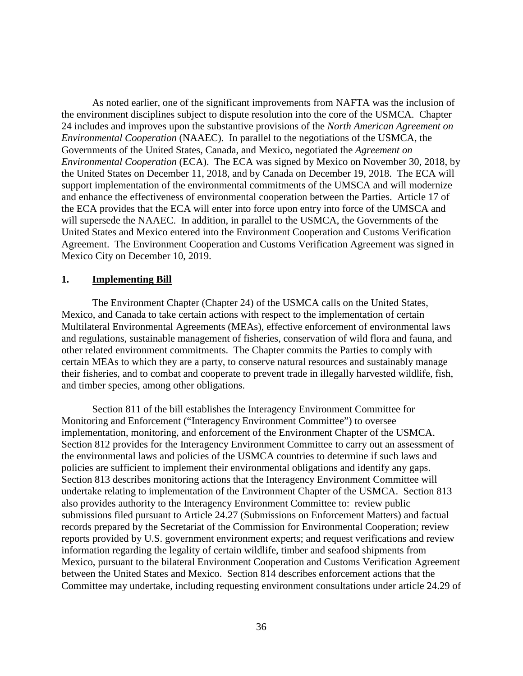As noted earlier, one of the significant improvements from NAFTA was the inclusion of the environment disciplines subject to dispute resolution into the core of the USMCA. Chapter 24 includes and improves upon the substantive provisions of the *North American Agreement on Environmental Cooperation* (NAAEC). In parallel to the negotiations of the USMCA, the Governments of the United States, Canada, and Mexico, negotiated the *Agreement on Environmental Cooperation* (ECA). The ECA was signed by Mexico on November 30, 2018, by the United States on December 11, 2018, and by Canada on December 19, 2018. The ECA will support implementation of the environmental commitments of the UMSCA and will modernize and enhance the effectiveness of environmental cooperation between the Parties. Article 17 of the ECA provides that the ECA will enter into force upon entry into force of the UMSCA and will supersede the NAAEC. In addition, in parallel to the USMCA, the Governments of the United States and Mexico entered into the Environment Cooperation and Customs Verification Agreement. The Environment Cooperation and Customs Verification Agreement was signed in Mexico City on December 10, 2019.

#### **1. Implementing Bill**

The Environment Chapter (Chapter 24) of the USMCA calls on the United States, Mexico, and Canada to take certain actions with respect to the implementation of certain Multilateral Environmental Agreements (MEAs), effective enforcement of environmental laws and regulations, sustainable management of fisheries, conservation of wild flora and fauna, and other related environment commitments. The Chapter commits the Parties to comply with certain MEAs to which they are a party, to conserve natural resources and sustainably manage their fisheries, and to combat and cooperate to prevent trade in illegally harvested wildlife, fish, and timber species, among other obligations.

Section 811 of the bill establishes the Interagency Environment Committee for Monitoring and Enforcement ("Interagency Environment Committee") to oversee implementation, monitoring, and enforcement of the Environment Chapter of the USMCA. Section 812 provides for the Interagency Environment Committee to carry out an assessment of the environmental laws and policies of the USMCA countries to determine if such laws and policies are sufficient to implement their environmental obligations and identify any gaps. Section 813 describes monitoring actions that the Interagency Environment Committee will undertake relating to implementation of the Environment Chapter of the USMCA. Section 813 also provides authority to the Interagency Environment Committee to: review public submissions filed pursuant to Article 24.27 (Submissions on Enforcement Matters) and factual records prepared by the Secretariat of the Commission for Environmental Cooperation; review reports provided by U.S. government environment experts; and request verifications and review information regarding the legality of certain wildlife, timber and seafood shipments from Mexico, pursuant to the bilateral Environment Cooperation and Customs Verification Agreement between the United States and Mexico. Section 814 describes enforcement actions that the Committee may undertake, including requesting environment consultations under article 24.29 of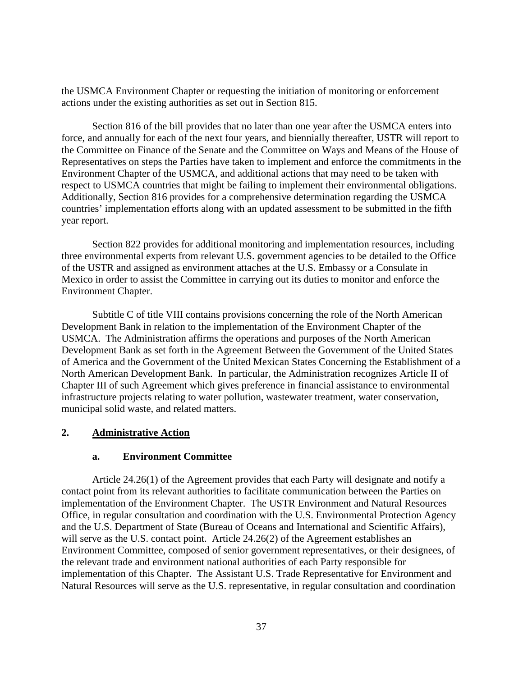the USMCA Environment Chapter or requesting the initiation of monitoring or enforcement actions under the existing authorities as set out in Section 815.

Section 816 of the bill provides that no later than one year after the USMCA enters into force, and annually for each of the next four years, and biennially thereafter, USTR will report to the Committee on Finance of the Senate and the Committee on Ways and Means of the House of Representatives on steps the Parties have taken to implement and enforce the commitments in the Environment Chapter of the USMCA, and additional actions that may need to be taken with respect to USMCA countries that might be failing to implement their environmental obligations. Additionally, Section 816 provides for a comprehensive determination regarding the USMCA countries' implementation efforts along with an updated assessment to be submitted in the fifth year report.

Section 822 provides for additional monitoring and implementation resources, including three environmental experts from relevant U.S. government agencies to be detailed to the Office of the USTR and assigned as environment attaches at the U.S. Embassy or a Consulate in Mexico in order to assist the Committee in carrying out its duties to monitor and enforce the Environment Chapter.

Subtitle C of title VIII contains provisions concerning the role of the North American Development Bank in relation to the implementation of the Environment Chapter of the USMCA. The Administration affirms the operations and purposes of the North American Development Bank as set forth in the Agreement Between the Government of the United States of America and the Government of the United Mexican States Concerning the Establishment of a North American Development Bank. In particular, the Administration recognizes Article II of Chapter III of such Agreement which gives preference in financial assistance to environmental infrastructure projects relating to water pollution, wastewater treatment, water conservation, municipal solid waste, and related matters.

# **2. Administrative Action**

# **a. Environment Committee**

Article 24.26(1) of the Agreement provides that each Party will designate and notify a contact point from its relevant authorities to facilitate communication between the Parties on implementation of the Environment Chapter. The USTR Environment and Natural Resources Office, in regular consultation and coordination with the U.S. Environmental Protection Agency and the U.S. Department of State (Bureau of Oceans and International and Scientific Affairs), will serve as the U.S. contact point. Article 24.26(2) of the Agreement establishes an Environment Committee, composed of senior government representatives, or their designees, of the relevant trade and environment national authorities of each Party responsible for implementation of this Chapter. The Assistant U.S. Trade Representative for Environment and Natural Resources will serve as the U.S. representative, in regular consultation and coordination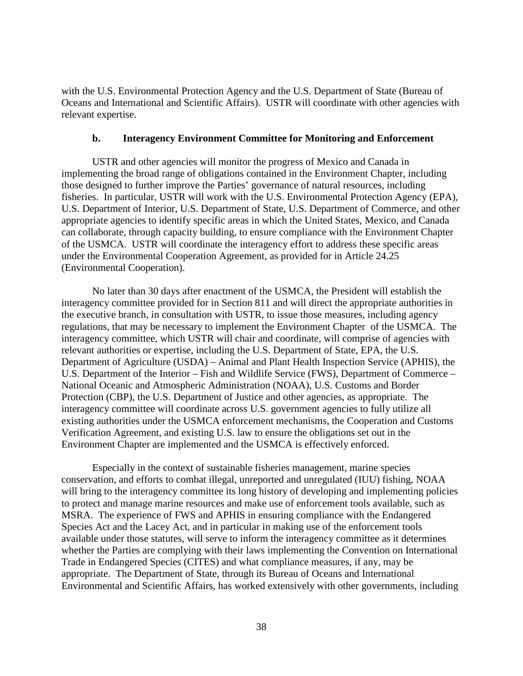with the U.S. Environmental Protection Agency and the U.S. Department of State (Bureau of Oceans and International and Scientific Affairs). USTR will coordinate with other agencies with relevant expertise.

#### **b. Interagency Environment Committee for Monitoring and Enforcement**

USTR and other agencies will monitor the progress of Mexico and Canada in implementing the broad range of obligations contained in the Environment Chapter, including those designed to further improve the Parties' governance of natural resources, including fisheries. In particular, USTR will work with the U.S. Environmental Protection Agency (EPA), U.S. Department of Interior, U.S. Department of State, U.S. Department of Commerce, and other appropriate agencies to identify specific areas in which the United States, Mexico, and Canada can collaborate, through capacity building, to ensure compliance with the Environment Chapter of the USMCA. USTR will coordinate the interagency effort to address these specific areas under the Environmental Cooperation Agreement, as provided for in Article 24.25 (Environmental Cooperation).

No later than 30 days after enactment of the USMCA, the President will establish the interagency committee provided for in Section 811 and will direct the appropriate authorities in the executive branch, in consultation with USTR, to issue those measures, including agency regulations, that may be necessary to implement the Environment Chapter of the USMCA. The interagency committee, which USTR will chair and coordinate, will comprise of agencies with relevant authorities or expertise, including the U.S. Department of State, EPA, the U.S. Department of Agriculture (USDA) – Animal and Plant Health Inspection Service (APHIS), the U.S. Department of the Interior – Fish and Wildlife Service (FWS), Department of Commerce – National Oceanic and Atmospheric Administration (NOAA), U.S. Customs and Border Protection (CBP), the U.S. Department of Justice and other agencies, as appropriate. The interagency committee will coordinate across U.S. government agencies to fully utilize all existing authorities under the USMCA enforcement mechanisms, the Cooperation and Customs Verification Agreement, and existing U.S. law to ensure the obligations set out in the Environment Chapter are implemented and the USMCA is effectively enforced.

Especially in the context of sustainable fisheries management, marine species conservation, and efforts to combat illegal, unreported and unregulated (IUU) fishing, NOAA will bring to the interagency committee its long history of developing and implementing policies to protect and manage marine resources and make use of enforcement tools available, such as MSRA. The experience of FWS and APHIS in ensuring compliance with the Endangered Species Act and the Lacey Act, and in particular in making use of the enforcement tools available under those statutes, will serve to inform the interagency committee as it determines whether the Parties are complying with their laws implementing the Convention on International Trade in Endangered Species (CITES) and what compliance measures, if any, may be appropriate. The Department of State, through its Bureau of Oceans and International Environmental and Scientific Affairs, has worked extensively with other governments, including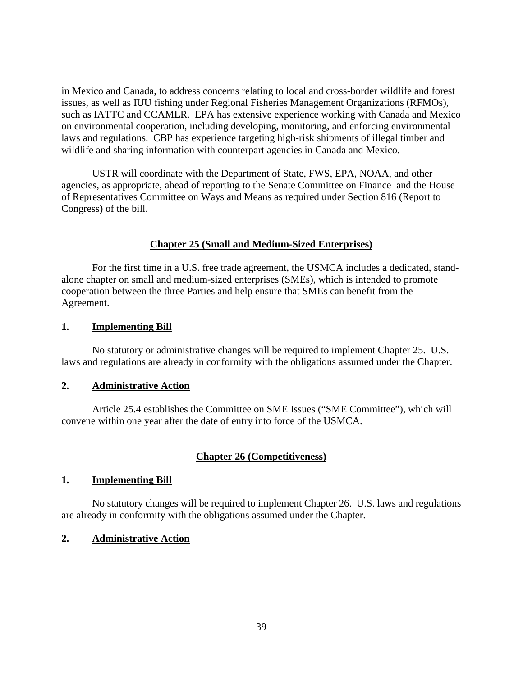in Mexico and Canada, to address concerns relating to local and cross-border wildlife and forest issues, as well as IUU fishing under Regional Fisheries Management Organizations (RFMOs), such as IATTC and CCAMLR. EPA has extensive experience working with Canada and Mexico on environmental cooperation, including developing, monitoring, and enforcing environmental laws and regulations. CBP has experience targeting high-risk shipments of illegal timber and wildlife and sharing information with counterpart agencies in Canada and Mexico.

USTR will coordinate with the Department of State, FWS, EPA, NOAA, and other agencies, as appropriate, ahead of reporting to the Senate Committee on Finance and the House of Representatives Committee on Ways and Means as required under Section 816 (Report to Congress) of the bill.

#### **Chapter 25 (Small and Medium-Sized Enterprises)**

For the first time in a U.S. free trade agreement, the USMCA includes a dedicated, standalone chapter on small and medium-sized enterprises (SMEs), which is intended to promote cooperation between the three Parties and help ensure that SMEs can benefit from the Agreement.

#### **1. Implementing Bill**

No statutory or administrative changes will be required to implement Chapter 25. U.S. laws and regulations are already in conformity with the obligations assumed under the Chapter.

#### **2. Administrative Action**

Article 25.4 establishes the Committee on SME Issues ("SME Committee"), which will convene within one year after the date of entry into force of the USMCA.

#### **Chapter 26 (Competitiveness)**

#### **1. Implementing Bill**

No statutory changes will be required to implement Chapter 26. U.S. laws and regulations are already in conformity with the obligations assumed under the Chapter.

#### **2. Administrative Action**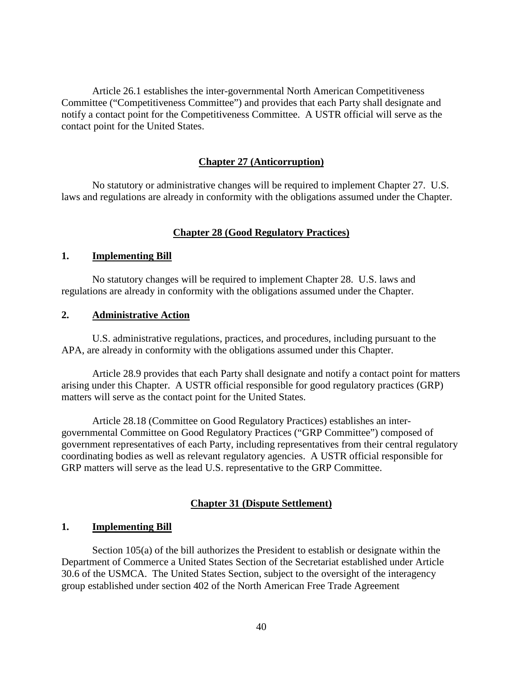Article 26.1 establishes the inter-governmental North American Competitiveness Committee ("Competitiveness Committee") and provides that each Party shall designate and notify a contact point for the Competitiveness Committee. A USTR official will serve as the contact point for the United States.

#### **Chapter 27 (Anticorruption)**

No statutory or administrative changes will be required to implement Chapter 27. U.S. laws and regulations are already in conformity with the obligations assumed under the Chapter.

# **Chapter 28 (Good Regulatory Practices)**

#### **1. Implementing Bill**

No statutory changes will be required to implement Chapter 28. U.S. laws and regulations are already in conformity with the obligations assumed under the Chapter.

# **2. Administrative Action**

U.S. administrative regulations, practices, and procedures, including pursuant to the APA, are already in conformity with the obligations assumed under this Chapter.

Article 28.9 provides that each Party shall designate and notify a contact point for matters arising under this Chapter. A USTR official responsible for good regulatory practices (GRP) matters will serve as the contact point for the United States.

Article 28.18 (Committee on Good Regulatory Practices) establishes an intergovernmental Committee on Good Regulatory Practices ("GRP Committee") composed of government representatives of each Party, including representatives from their central regulatory coordinating bodies as well as relevant regulatory agencies. A USTR official responsible for GRP matters will serve as the lead U.S. representative to the GRP Committee.

#### **Chapter 31 (Dispute Settlement)**

#### **1. Implementing Bill**

Section 105(a) of the bill authorizes the President to establish or designate within the Department of Commerce a United States Section of the Secretariat established under Article 30.6 of the USMCA. The United States Section, subject to the oversight of the interagency group established under section 402 of the North American Free Trade Agreement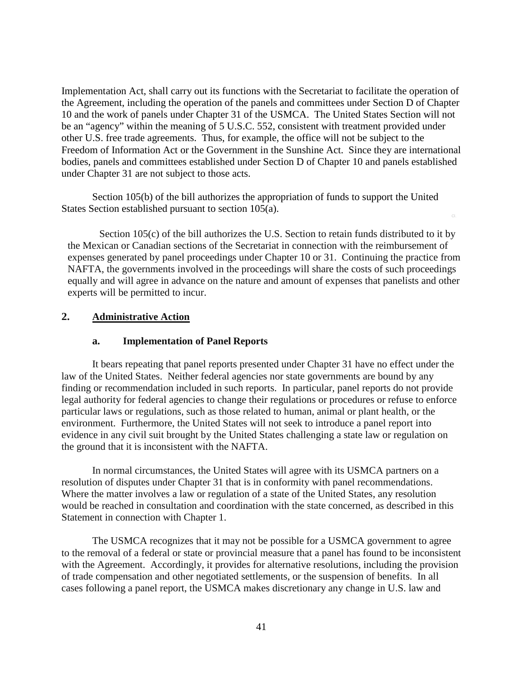Implementation Act, shall carry out its functions with the Secretariat to facilitate the operation of the Agreement, including the operation of the panels and committees under Section D of Chapter 10 and the work of panels under Chapter 31 of the USMCA. The United States Section will not be an "agency" within the meaning of 5 U.S.C. 552, consistent with treatment provided under other U.S. free trade agreements. Thus, for example, the office will not be subject to the Freedom of Information Act or the Government in the Sunshine Act. Since they are international bodies, panels and committees established under Section D of Chapter 10 and panels established under Chapter 31 are not subject to those acts.

Section 105(b) of the bill authorizes the appropriation of funds to support the United States Section established pursuant to section 105(a).

Section 105(c) of the bill authorizes the U.S. Section to retain funds distributed to it by the Mexican or Canadian sections of the Secretariat in connection with the reimbursement of expenses generated by panel proceedings under Chapter 10 or 31. Continuing the practice from NAFTA, the governments involved in the proceedings will share the costs of such proceedings equally and will agree in advance on the nature and amount of expenses that panelists and other experts will be permitted to incur.

# **2. Administrative Action**

# **a. Implementation of Panel Reports**

It bears repeating that panel reports presented under Chapter 31 have no effect under the law of the United States. Neither federal agencies nor state governments are bound by any finding or recommendation included in such reports. In particular, panel reports do not provide legal authority for federal agencies to change their regulations or procedures or refuse to enforce particular laws or regulations, such as those related to human, animal or plant health, or the environment. Furthermore, the United States will not seek to introduce a panel report into evidence in any civil suit brought by the United States challenging a state law or regulation on the ground that it is inconsistent with the NAFTA.

In normal circumstances, the United States will agree with its USMCA partners on a resolution of disputes under Chapter 31 that is in conformity with panel recommendations. Where the matter involves a law or regulation of a state of the United States, any resolution would be reached in consultation and coordination with the state concerned, as described in this Statement in connection with Chapter 1.

The USMCA recognizes that it may not be possible for a USMCA government to agree to the removal of a federal or state or provincial measure that a panel has found to be inconsistent with the Agreement. Accordingly, it provides for alternative resolutions, including the provision of trade compensation and other negotiated settlements, or the suspension of benefits. In all cases following a panel report, the USMCA makes discretionary any change in U.S. law and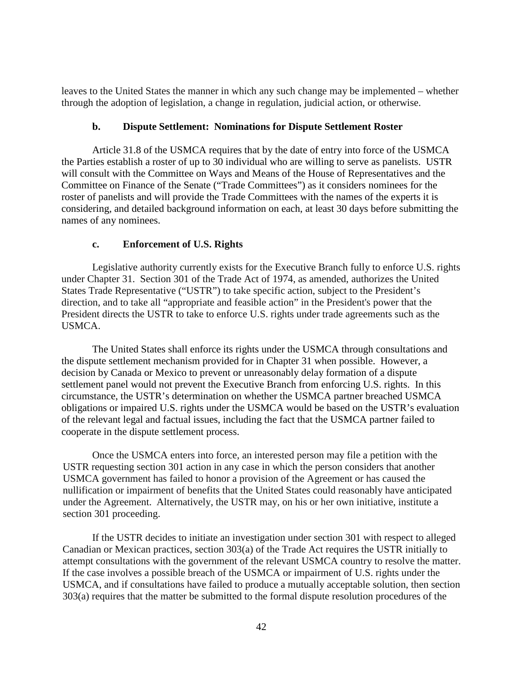leaves to the United States the manner in which any such change may be implemented – whether through the adoption of legislation, a change in regulation, judicial action, or otherwise.

#### **b. Dispute Settlement: Nominations for Dispute Settlement Roster**

Article 31.8 of the USMCA requires that by the date of entry into force of the USMCA the Parties establish a roster of up to 30 individual who are willing to serve as panelists. USTR will consult with the Committee on Ways and Means of the House of Representatives and the Committee on Finance of the Senate ("Trade Committees") as it considers nominees for the roster of panelists and will provide the Trade Committees with the names of the experts it is considering, and detailed background information on each, at least 30 days before submitting the names of any nominees.

# **c. Enforcement of U.S. Rights**

Legislative authority currently exists for the Executive Branch fully to enforce U.S. rights under Chapter 31. Section 301 of the Trade Act of 1974, as amended, authorizes the United States Trade Representative ("USTR") to take specific action, subject to the President's direction, and to take all "appropriate and feasible action" in the President's power that the President directs the USTR to take to enforce U.S. rights under trade agreements such as the USMCA.

The United States shall enforce its rights under the USMCA through consultations and the dispute settlement mechanism provided for in Chapter 31 when possible. However, a decision by Canada or Mexico to prevent or unreasonably delay formation of a dispute settlement panel would not prevent the Executive Branch from enforcing U.S. rights. In this circumstance, the USTR's determination on whether the USMCA partner breached USMCA obligations or impaired U.S. rights under the USMCA would be based on the USTR's evaluation of the relevant legal and factual issues, including the fact that the USMCA partner failed to cooperate in the dispute settlement process.

Once the USMCA enters into force, an interested person may file a petition with the USTR requesting section 301 action in any case in which the person considers that another USMCA government has failed to honor a provision of the Agreement or has caused the nullification or impairment of benefits that the United States could reasonably have anticipated under the Agreement. Alternatively, the USTR may, on his or her own initiative, institute a section 301 proceeding.

If the USTR decides to initiate an investigation under section 301 with respect to alleged Canadian or Mexican practices, section 303(a) of the Trade Act requires the USTR initially to attempt consultations with the government of the relevant USMCA country to resolve the matter. If the case involves a possible breach of the USMCA or impairment of U.S. rights under the USMCA, and if consultations have failed to produce a mutually acceptable solution, then section 303(a) requires that the matter be submitted to the formal dispute resolution procedures of the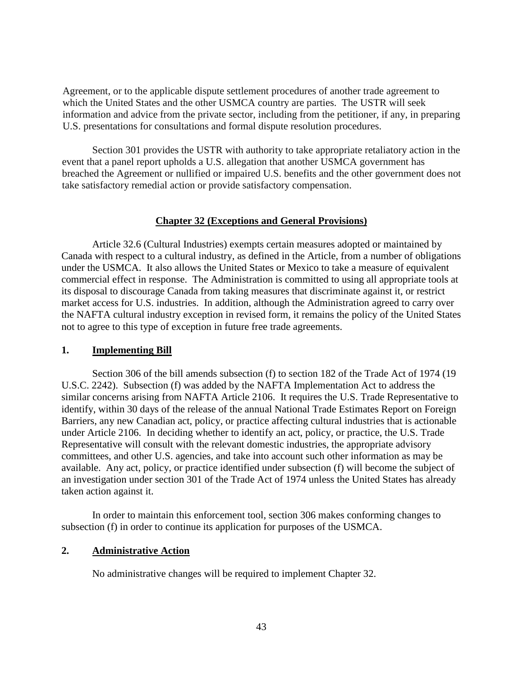Agreement, or to the applicable dispute settlement procedures of another trade agreement to which the United States and the other USMCA country are parties. The USTR will seek information and advice from the private sector, including from the petitioner, if any, in preparing U.S. presentations for consultations and formal dispute resolution procedures.

Section 301 provides the USTR with authority to take appropriate retaliatory action in the event that a panel report upholds a U.S. allegation that another USMCA government has breached the Agreement or nullified or impaired U.S. benefits and the other government does not take satisfactory remedial action or provide satisfactory compensation.

# **Chapter 32 (Exceptions and General Provisions)**

Article 32.6 (Cultural Industries) exempts certain measures adopted or maintained by Canada with respect to a cultural industry, as defined in the Article, from a number of obligations under the USMCA. It also allows the United States or Mexico to take a measure of equivalent commercial effect in response. The Administration is committed to using all appropriate tools at its disposal to discourage Canada from taking measures that discriminate against it, or restrict market access for U.S. industries. In addition, although the Administration agreed to carry over the NAFTA cultural industry exception in revised form, it remains the policy of the United States not to agree to this type of exception in future free trade agreements.

# **1. Implementing Bill**

Section 306 of the bill amends subsection (f) to section 182 of the Trade Act of 1974 (19 U.S.C. 2242). Subsection (f) was added by the NAFTA Implementation Act to address the similar concerns arising from NAFTA Article 2106. It requires the U.S. Trade Representative to identify, within 30 days of the release of the annual National Trade Estimates Report on Foreign Barriers, any new Canadian act, policy, or practice affecting cultural industries that is actionable under Article 2106. In deciding whether to identify an act, policy, or practice, the U.S. Trade Representative will consult with the relevant domestic industries, the appropriate advisory committees, and other U.S. agencies, and take into account such other information as may be available. Any act, policy, or practice identified under subsection (f) will become the subject of an investigation under section 301 of the Trade Act of 1974 unless the United States has already taken action against it.

In order to maintain this enforcement tool, section 306 makes conforming changes to subsection (f) in order to continue its application for purposes of the USMCA.

# **2. Administrative Action**

No administrative changes will be required to implement Chapter 32.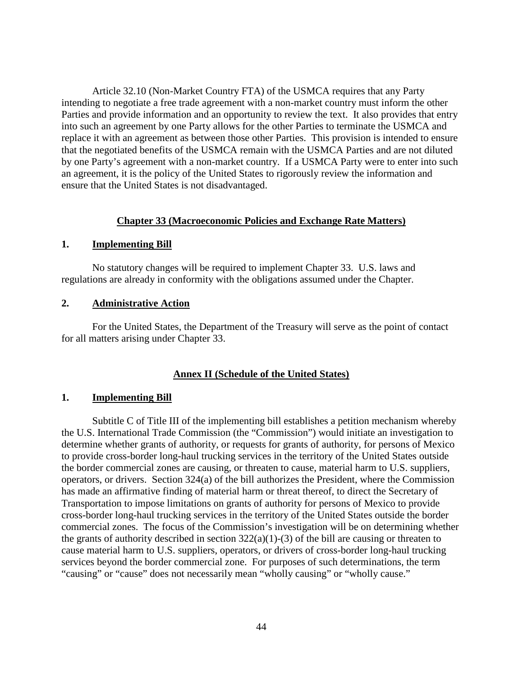Article 32.10 (Non-Market Country FTA) of the USMCA requires that any Party intending to negotiate a free trade agreement with a non-market country must inform the other Parties and provide information and an opportunity to review the text. It also provides that entry into such an agreement by one Party allows for the other Parties to terminate the USMCA and replace it with an agreement as between those other Parties. This provision is intended to ensure that the negotiated benefits of the USMCA remain with the USMCA Parties and are not diluted by one Party's agreement with a non-market country. If a USMCA Party were to enter into such an agreement, it is the policy of the United States to rigorously review the information and ensure that the United States is not disadvantaged.

#### **Chapter 33 (Macroeconomic Policies and Exchange Rate Matters)**

#### **1. Implementing Bill**

No statutory changes will be required to implement Chapter 33. U.S. laws and regulations are already in conformity with the obligations assumed under the Chapter.

#### **2. Administrative Action**

For the United States, the Department of the Treasury will serve as the point of contact for all matters arising under Chapter 33.

#### **Annex II (Schedule of the United States)**

#### **1. Implementing Bill**

Subtitle C of Title III of the implementing bill establishes a petition mechanism whereby the U.S. International Trade Commission (the "Commission") would initiate an investigation to determine whether grants of authority, or requests for grants of authority, for persons of Mexico to provide cross-border long-haul trucking services in the territory of the United States outside the border commercial zones are causing, or threaten to cause, material harm to U.S. suppliers, operators, or drivers. Section 324(a) of the bill authorizes the President, where the Commission has made an affirmative finding of material harm or threat thereof, to direct the Secretary of Transportation to impose limitations on grants of authority for persons of Mexico to provide cross-border long-haul trucking services in the territory of the United States outside the border commercial zones.The focus of the Commission's investigation will be on determining whether the grants of authority described in section  $322(a)(1)-(3)$  of the bill are causing or threaten to cause material harm to U.S. suppliers, operators, or drivers of cross-border long-haul trucking services beyond the border commercial zone. For purposes of such determinations, the term "causing" or "cause" does not necessarily mean "wholly causing" or "wholly cause."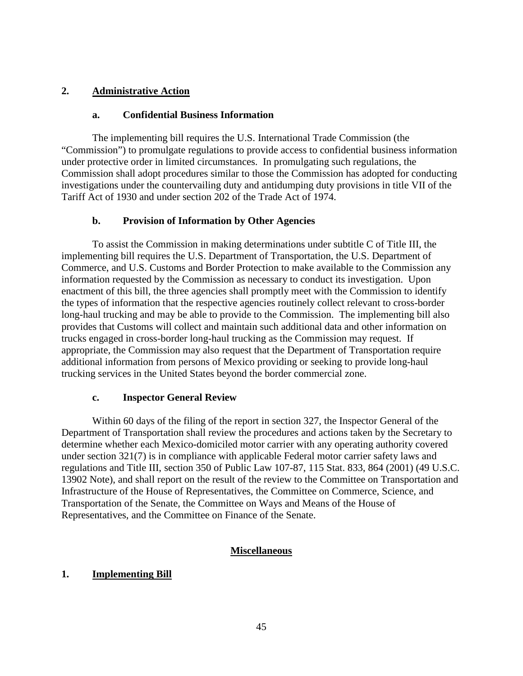# **2. Administrative Action**

#### **a. Confidential Business Information**

The implementing bill requires the U.S. International Trade Commission (the "Commission") to promulgate regulations to provide access to confidential business information under protective order in limited circumstances. In promulgating such regulations, the Commission shall adopt procedures similar to those the Commission has adopted for conducting investigations under the countervailing duty and antidumping duty provisions in title VII of the Tariff Act of 1930 and under section 202 of the Trade Act of 1974.

# **b. Provision of Information by Other Agencies**

To assist the Commission in making determinations under subtitle C of Title III, the implementing bill requires the U.S. Department of Transportation, the U.S. Department of Commerce, and U.S. Customs and Border Protection to make available to the Commission any information requested by the Commission as necessary to conduct its investigation. Upon enactment of this bill, the three agencies shall promptly meet with the Commission to identify the types of information that the respective agencies routinely collect relevant to cross-border long-haul trucking and may be able to provide to the Commission. The implementing bill also provides that Customs will collect and maintain such additional data and other information on trucks engaged in cross-border long-haul trucking as the Commission may request. If appropriate, the Commission may also request that the Department of Transportation require additional information from persons of Mexico providing or seeking to provide long-haul trucking services in the United States beyond the border commercial zone.

# **c. Inspector General Review**

Within 60 days of the filing of the report in section 327, the Inspector General of the Department of Transportation shall review the procedures and actions taken by the Secretary to determine whether each Mexico-domiciled motor carrier with any operating authority covered under section 321(7) is in compliance with applicable Federal motor carrier safety laws and regulations and Title III, section 350 of Public Law 107-87, 115 Stat. 833, 864 (2001) (49 U.S.C. 13902 Note), and shall report on the result of the review to the Committee on Transportation and Infrastructure of the House of Representatives, the Committee on Commerce, Science, and Transportation of the Senate, the Committee on Ways and Means of the House of Representatives, and the Committee on Finance of the Senate.

# **Miscellaneous**

# **1. Implementing Bill**